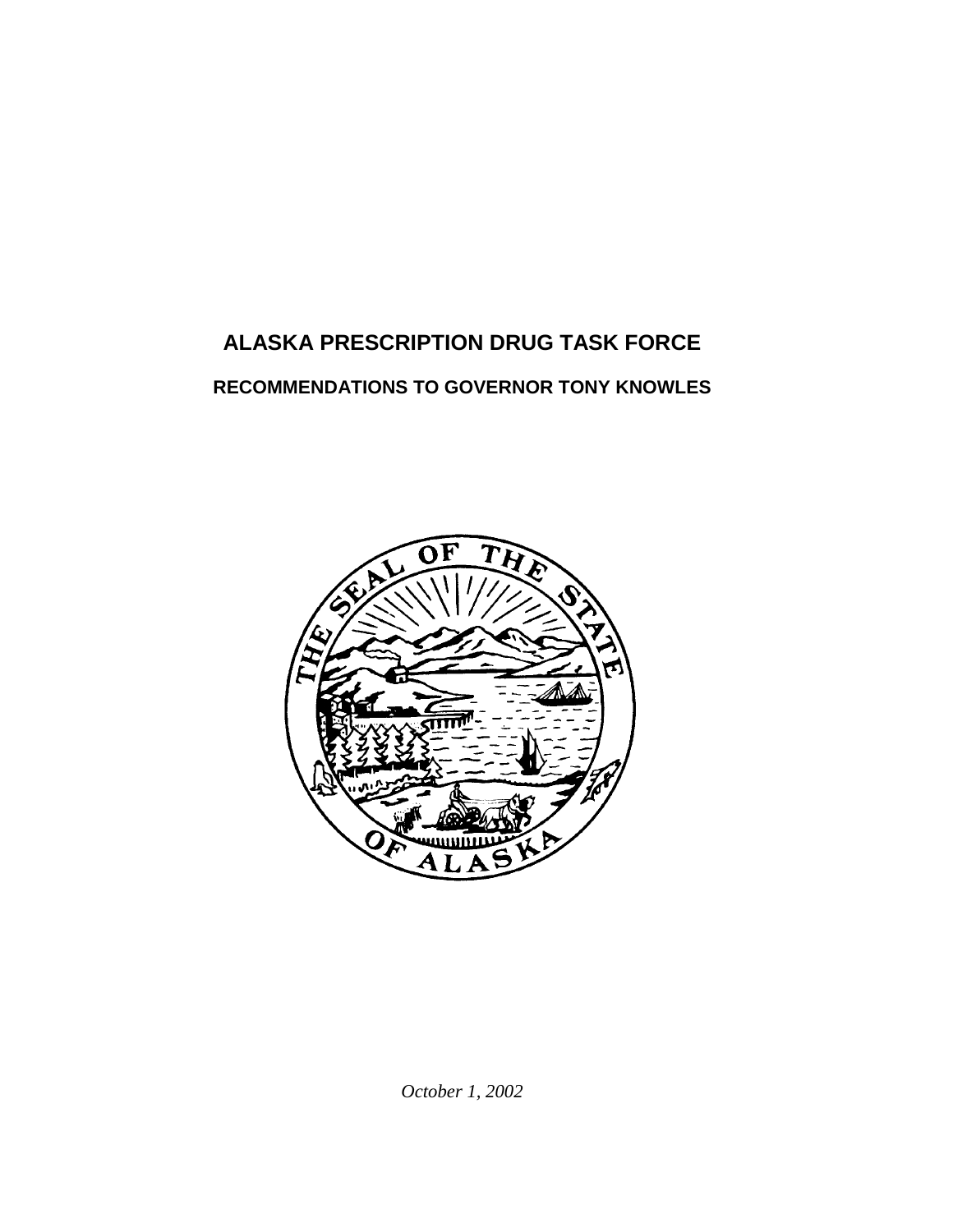# **ALASKA PRESCRIPTION DRUG TASK FORCE**

## **RECOMMENDATIONS TO GOVERNOR TONY KNOWLES**



*October 1, 2002*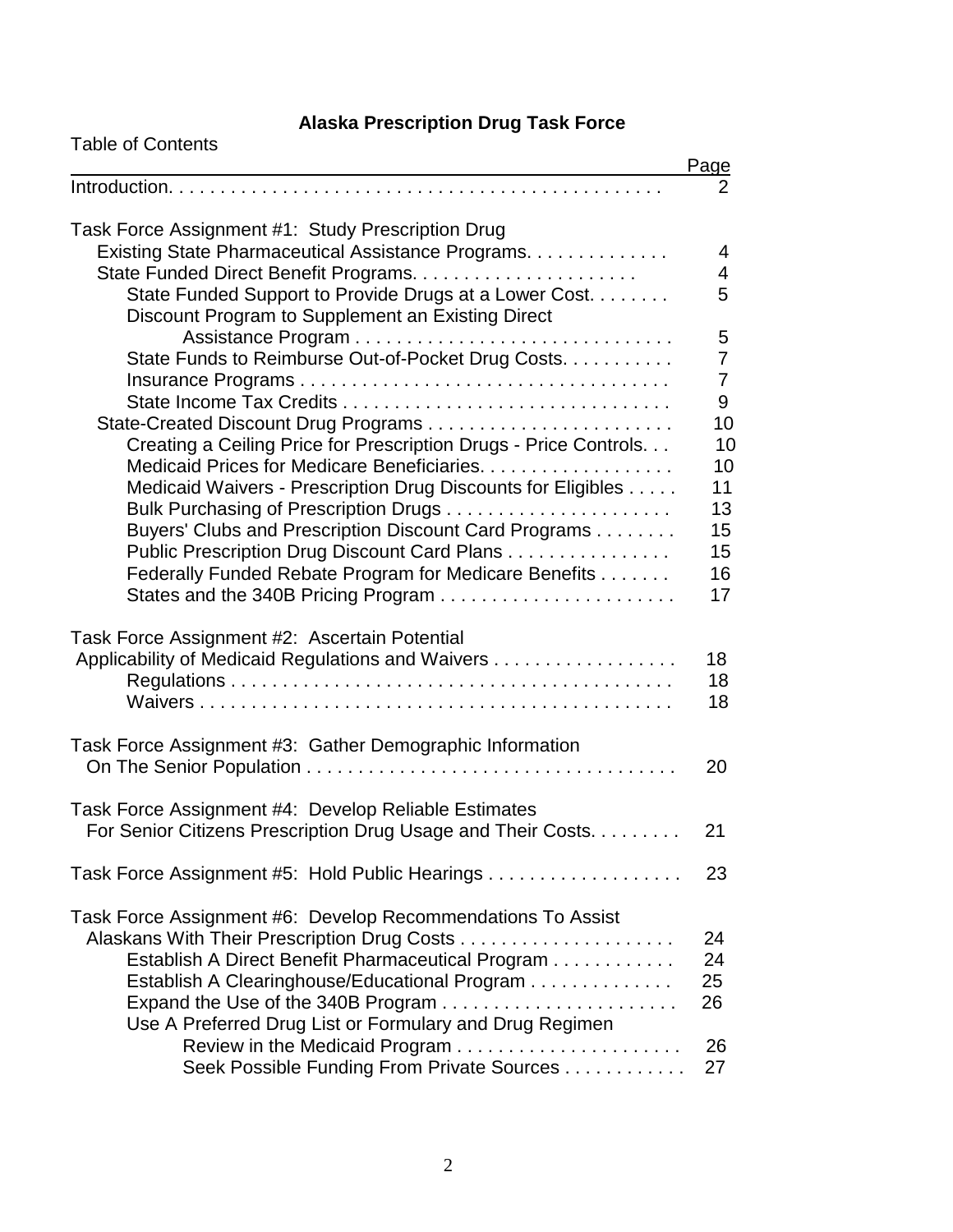# **Alaska Prescription Drug Task Force**

| <b>Table of Contents</b>                                         |                |
|------------------------------------------------------------------|----------------|
|                                                                  | Page           |
|                                                                  | 2              |
| Task Force Assignment #1: Study Prescription Drug                |                |
| Existing State Pharmaceutical Assistance Programs.               | 4              |
|                                                                  | 4              |
| State Funded Support to Provide Drugs at a Lower Cost.           | 5              |
| Discount Program to Supplement an Existing Direct                |                |
|                                                                  | 5              |
| State Funds to Reimburse Out-of-Pocket Drug Costs.               | $\overline{7}$ |
|                                                                  | $\overline{7}$ |
|                                                                  | 9              |
|                                                                  | 10             |
| Creating a Ceiling Price for Prescription Drugs - Price Controls | 10             |
| Medicaid Prices for Medicare Beneficiaries.                      | 10             |
| Medicaid Waivers - Prescription Drug Discounts for Eligibles     | 11             |
|                                                                  | 13             |
| Buyers' Clubs and Prescription Discount Card Programs            | 15             |
| Public Prescription Drug Discount Card Plans                     | 15             |
| Federally Funded Rebate Program for Medicare Benefits            | 16             |
|                                                                  | 17             |
| Task Force Assignment #2: Ascertain Potential                    |                |
| Applicability of Medicaid Regulations and Waivers                | 18             |
|                                                                  | 18             |
|                                                                  | 18             |
|                                                                  |                |
| Task Force Assignment #3: Gather Demographic Information         |                |
|                                                                  | 20             |
|                                                                  |                |
| Task Force Assignment #4: Develop Reliable Estimates             |                |
| For Senior Citizens Prescription Drug Usage and Their Costs.     | 21             |
| Task Force Assignment #5: Hold Public Hearings                   | 23             |
|                                                                  |                |
| Task Force Assignment #6: Develop Recommendations To Assist      | 24             |
| Establish A Direct Benefit Pharmaceutical Program                | 24             |
| Establish A Clearinghouse/Educational Program                    | 25             |
| Expand the Use of the 340B Program                               | 26             |
| Use A Preferred Drug List or Formulary and Drug Regimen          |                |
|                                                                  | 26             |
| Seek Possible Funding From Private Sources                       | 27             |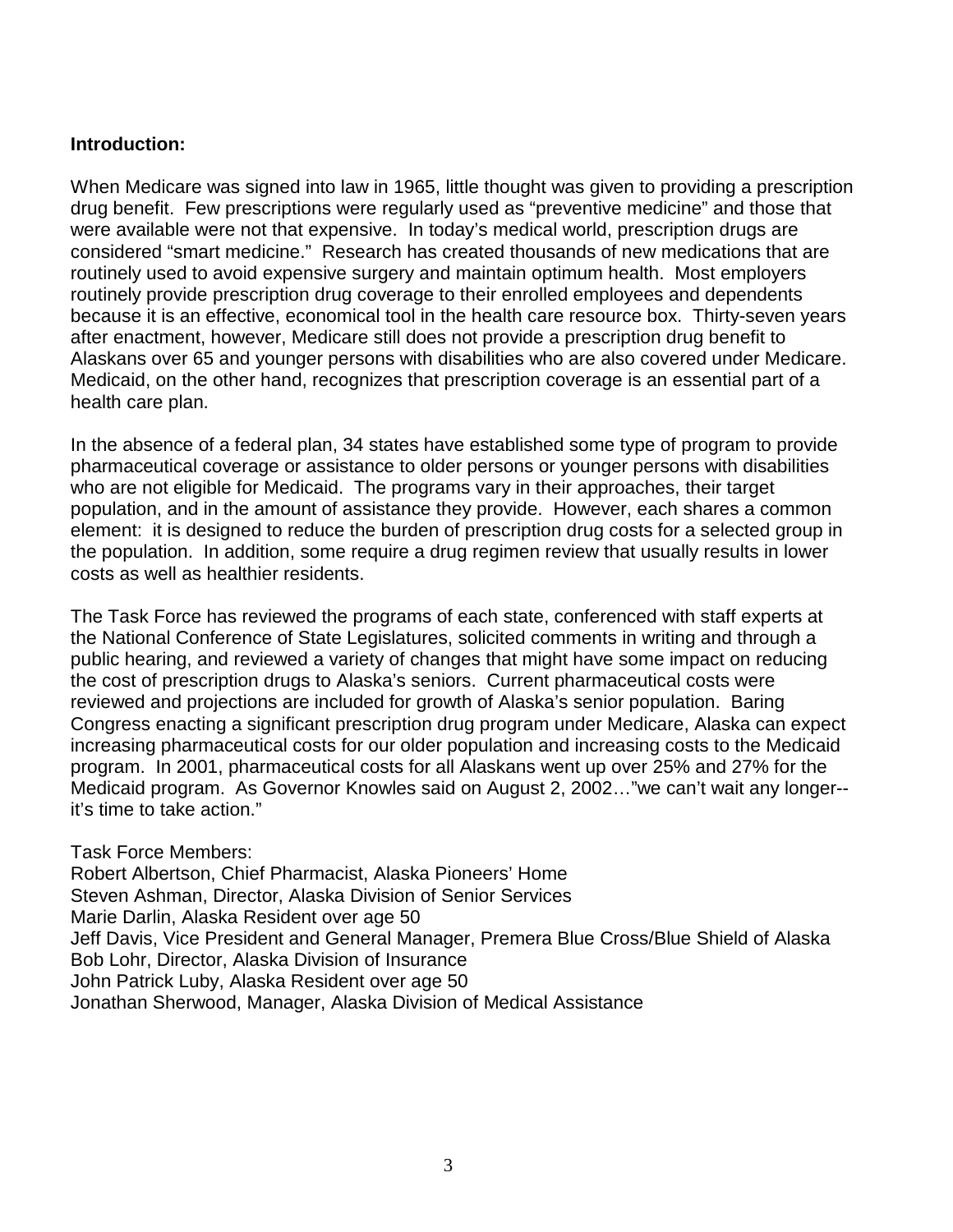#### **Introduction:**

When Medicare was signed into law in 1965, little thought was given to providing a prescription drug benefit. Few prescriptions were regularly used as "preventive medicine" and those that were available were not that expensive. In today's medical world, prescription drugs are considered "smart medicine." Research has created thousands of new medications that are routinely used to avoid expensive surgery and maintain optimum health. Most employers routinely provide prescription drug coverage to their enrolled employees and dependents because it is an effective, economical tool in the health care resource box. Thirty-seven years after enactment, however, Medicare still does not provide a prescription drug benefit to Alaskans over 65 and younger persons with disabilities who are also covered under Medicare. Medicaid, on the other hand, recognizes that prescription coverage is an essential part of a health care plan.

In the absence of a federal plan, 34 states have established some type of program to provide pharmaceutical coverage or assistance to older persons or younger persons with disabilities who are not eligible for Medicaid. The programs vary in their approaches, their target population, and in the amount of assistance they provide. However, each shares a common element: it is designed to reduce the burden of prescription drug costs for a selected group in the population. In addition, some require a drug regimen review that usually results in lower costs as well as healthier residents.

The Task Force has reviewed the programs of each state, conferenced with staff experts at the National Conference of State Legislatures, solicited comments in writing and through a public hearing, and reviewed a variety of changes that might have some impact on reducing the cost of prescription drugs to Alaska's seniors. Current pharmaceutical costs were reviewed and projections are included for growth of Alaska's senior population. Baring Congress enacting a significant prescription drug program under Medicare, Alaska can expect increasing pharmaceutical costs for our older population and increasing costs to the Medicaid program. In 2001, pharmaceutical costs for all Alaskans went up over 25% and 27% for the Medicaid program. As Governor Knowles said on August 2, 2002…"we can't wait any longer- it's time to take action."

Task Force Members:

Robert Albertson, Chief Pharmacist, Alaska Pioneers' Home Steven Ashman, Director, Alaska Division of Senior Services Marie Darlin, Alaska Resident over age 50 Jeff Davis, Vice President and General Manager, Premera Blue Cross/Blue Shield of Alaska Bob Lohr, Director, Alaska Division of Insurance John Patrick Luby, Alaska Resident over age 50 Jonathan Sherwood, Manager, Alaska Division of Medical Assistance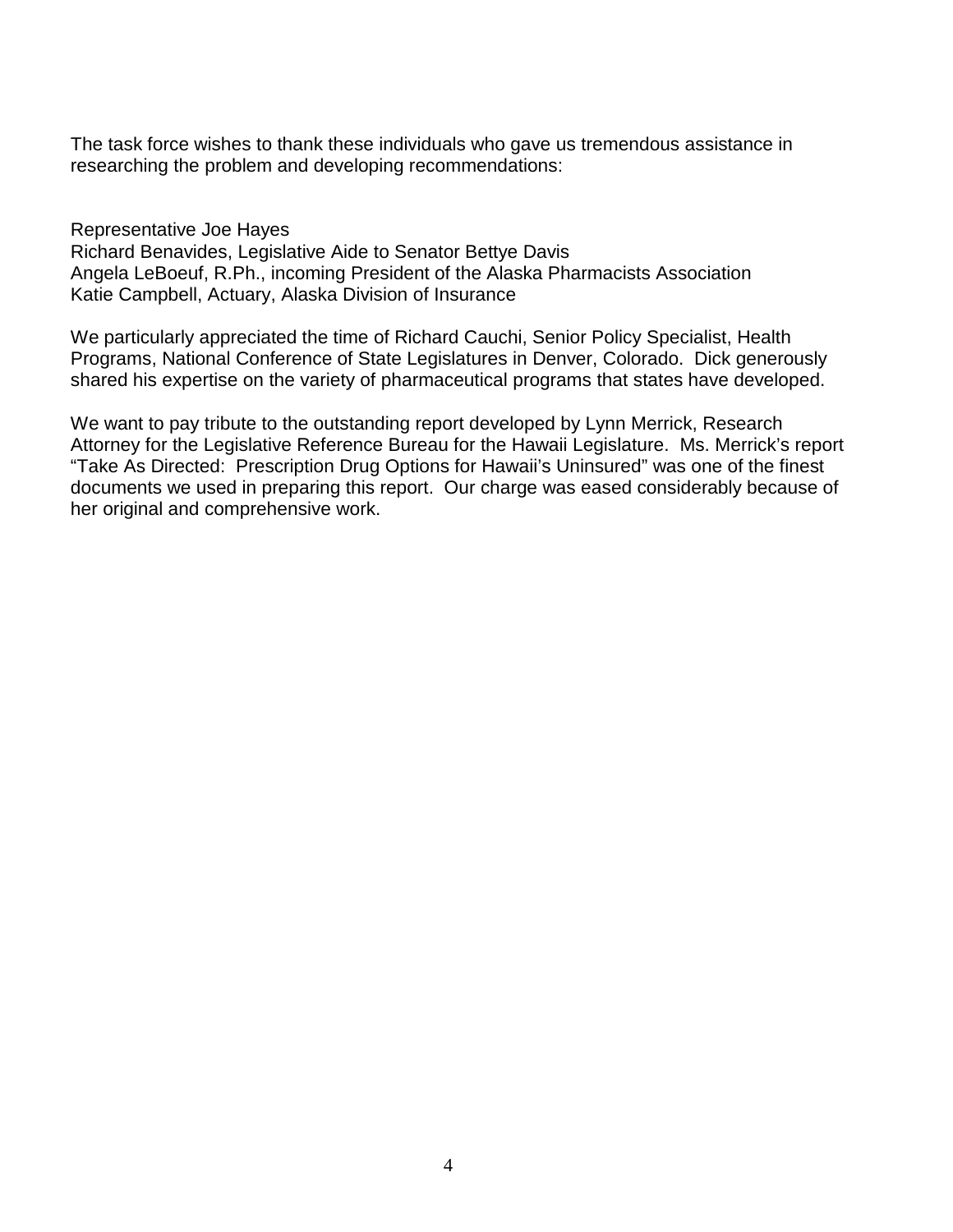The task force wishes to thank these individuals who gave us tremendous assistance in researching the problem and developing recommendations:

Representative Joe Hayes

Richard Benavides, Legislative Aide to Senator Bettye Davis Angela LeBoeuf, R.Ph., incoming President of the Alaska Pharmacists Association Katie Campbell, Actuary, Alaska Division of Insurance

We particularly appreciated the time of Richard Cauchi, Senior Policy Specialist, Health Programs, National Conference of State Legislatures in Denver, Colorado. Dick generously shared his expertise on the variety of pharmaceutical programs that states have developed.

We want to pay tribute to the outstanding report developed by Lynn Merrick, Research Attorney for the Legislative Reference Bureau for the Hawaii Legislature. Ms. Merrick's report "Take As Directed: Prescription Drug Options for Hawaii's Uninsured" was one of the finest documents we used in preparing this report. Our charge was eased considerably because of her original and comprehensive work.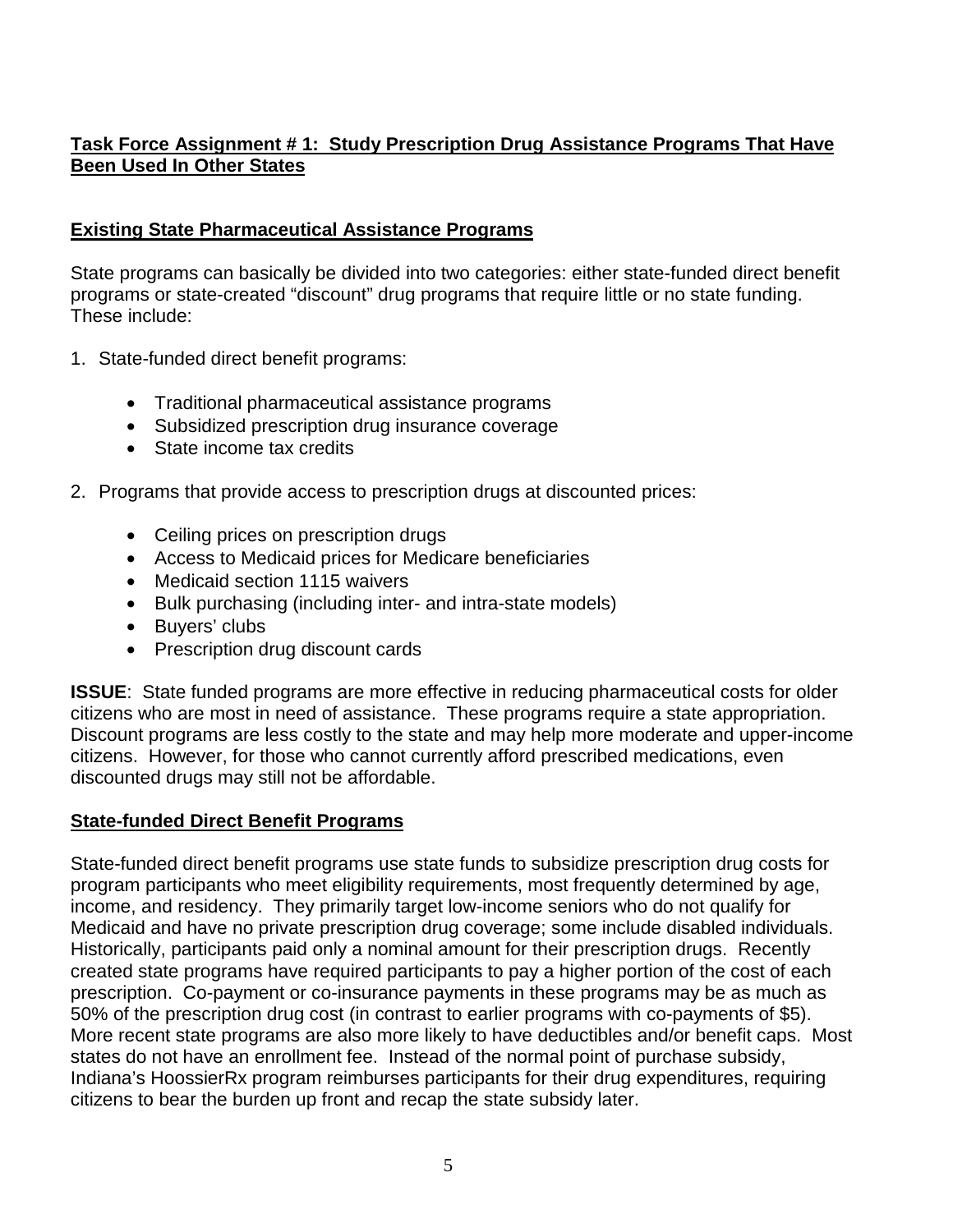## **Task Force Assignment # 1: Study Prescription Drug Assistance Programs That Have Been Used In Other States**

## **Existing State Pharmaceutical Assistance Programs**

State programs can basically be divided into two categories: either state-funded direct benefit programs or state-created "discount" drug programs that require little or no state funding. These include:

- 1. State-funded direct benefit programs:
	- Traditional pharmaceutical assistance programs
	- Subsidized prescription drug insurance coverage
	- State income tax credits
- 2. Programs that provide access to prescription drugs at discounted prices:
	- Ceiling prices on prescription drugs
	- Access to Medicaid prices for Medicare beneficiaries
	- Medicaid section 1115 waivers
	- Bulk purchasing (including inter- and intra-state models)
	- Buyers' clubs
	- Prescription drug discount cards

**ISSUE:** State funded programs are more effective in reducing pharmaceutical costs for older citizens who are most in need of assistance. These programs require a state appropriation. Discount programs are less costly to the state and may help more moderate and upper-income citizens. However, for those who cannot currently afford prescribed medications, even discounted drugs may still not be affordable.

## **State-funded Direct Benefit Programs**

State-funded direct benefit programs use state funds to subsidize prescription drug costs for program participants who meet eligibility requirements, most frequently determined by age, income, and residency. They primarily target low-income seniors who do not qualify for Medicaid and have no private prescription drug coverage; some include disabled individuals. Historically, participants paid only a nominal amount for their prescription drugs. Recently created state programs have required participants to pay a higher portion of the cost of each prescription. Co-payment or co-insurance payments in these programs may be as much as 50% of the prescription drug cost (in contrast to earlier programs with co-payments of \$5). More recent state programs are also more likely to have deductibles and/or benefit caps. Most states do not have an enrollment fee. Instead of the normal point of purchase subsidy, Indiana's HoossierRx program reimburses participants for their drug expenditures, requiring citizens to bear the burden up front and recap the state subsidy later.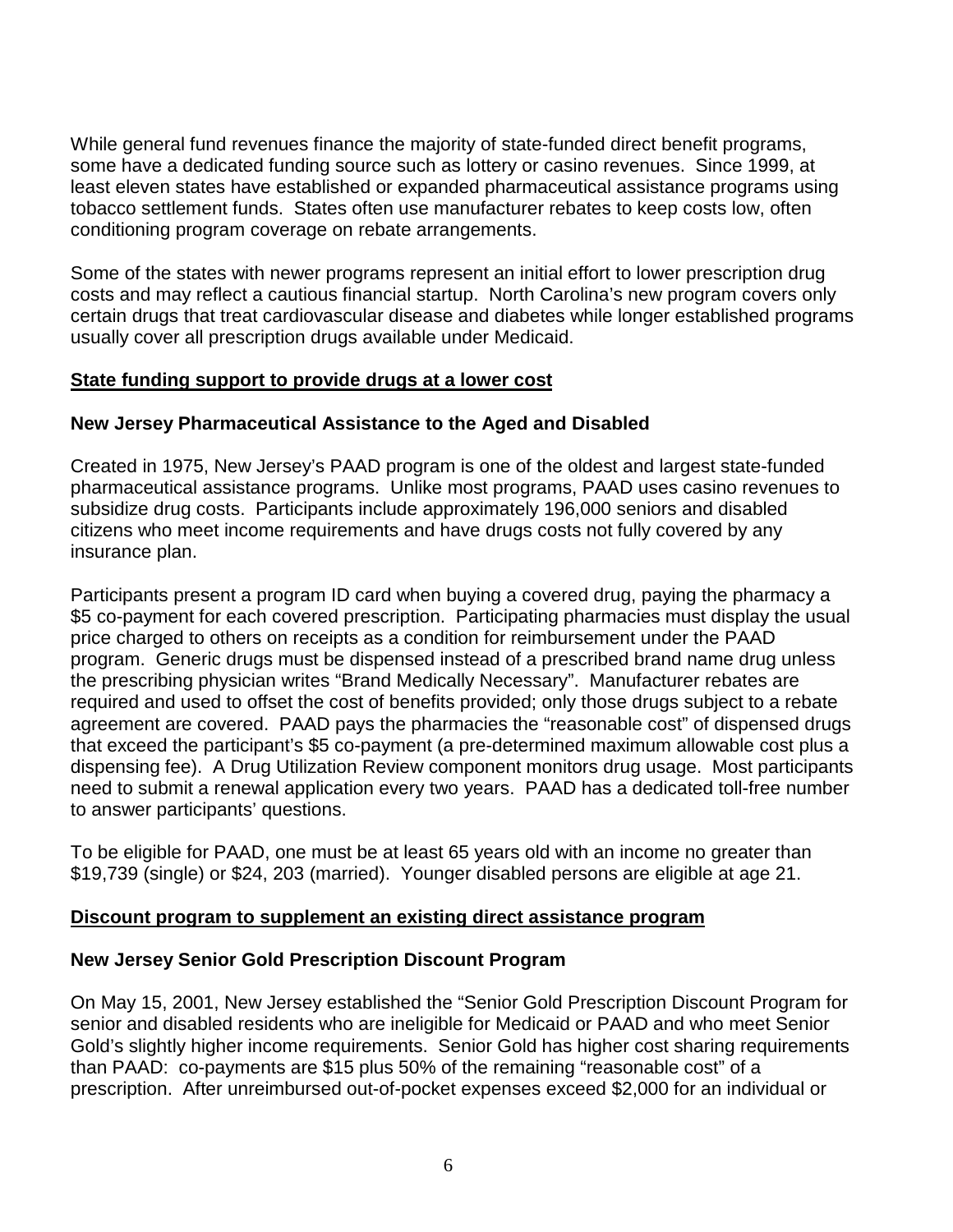While general fund revenues finance the majority of state-funded direct benefit programs, some have a dedicated funding source such as lottery or casino revenues. Since 1999, at least eleven states have established or expanded pharmaceutical assistance programs using tobacco settlement funds. States often use manufacturer rebates to keep costs low, often conditioning program coverage on rebate arrangements.

Some of the states with newer programs represent an initial effort to lower prescription drug costs and may reflect a cautious financial startup. North Carolina's new program covers only certain drugs that treat cardiovascular disease and diabetes while longer established programs usually cover all prescription drugs available under Medicaid.

#### **State funding support to provide drugs at a lower cost**

#### **New Jersey Pharmaceutical Assistance to the Aged and Disabled**

Created in 1975, New Jersey's PAAD program is one of the oldest and largest state-funded pharmaceutical assistance programs. Unlike most programs, PAAD uses casino revenues to subsidize drug costs. Participants include approximately 196,000 seniors and disabled citizens who meet income requirements and have drugs costs not fully covered by any insurance plan.

Participants present a program ID card when buying a covered drug, paying the pharmacy a \$5 co-payment for each covered prescription. Participating pharmacies must display the usual price charged to others on receipts as a condition for reimbursement under the PAAD program. Generic drugs must be dispensed instead of a prescribed brand name drug unless the prescribing physician writes "Brand Medically Necessary". Manufacturer rebates are required and used to offset the cost of benefits provided; only those drugs subject to a rebate agreement are covered. PAAD pays the pharmacies the "reasonable cost" of dispensed drugs that exceed the participant's \$5 co-payment (a pre-determined maximum allowable cost plus a dispensing fee). A Drug Utilization Review component monitors drug usage. Most participants need to submit a renewal application every two years. PAAD has a dedicated toll-free number to answer participants' questions.

To be eligible for PAAD, one must be at least 65 years old with an income no greater than \$19,739 (single) or \$24, 203 (married). Younger disabled persons are eligible at age 21.

#### **Discount program to supplement an existing direct assistance program**

#### **New Jersey Senior Gold Prescription Discount Program**

On May 15, 2001, New Jersey established the "Senior Gold Prescription Discount Program for senior and disabled residents who are ineligible for Medicaid or PAAD and who meet Senior Gold's slightly higher income requirements. Senior Gold has higher cost sharing requirements than PAAD: co-payments are \$15 plus 50% of the remaining "reasonable cost" of a prescription. After unreimbursed out-of-pocket expenses exceed \$2,000 for an individual or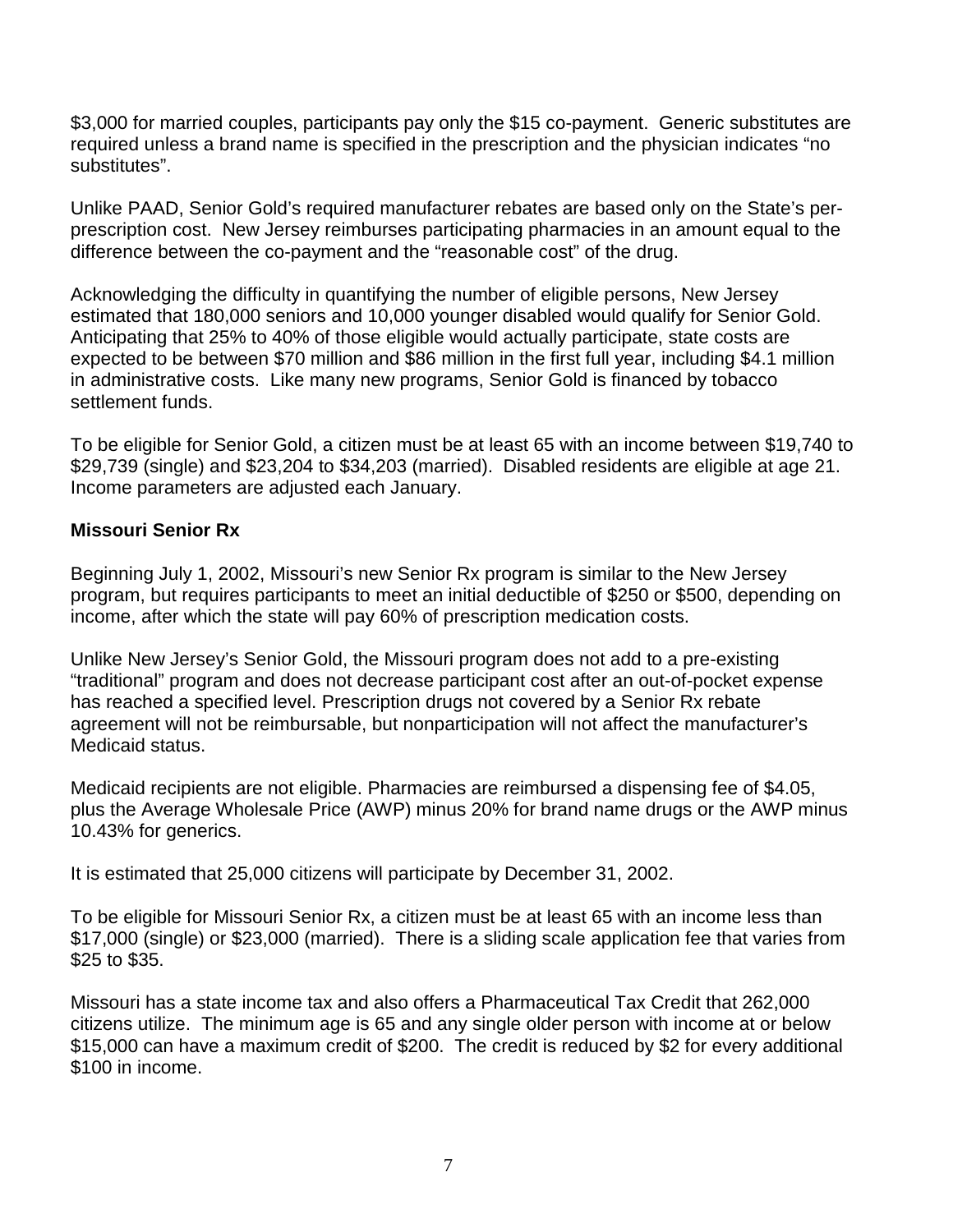\$3,000 for married couples, participants pay only the \$15 co-payment. Generic substitutes are required unless a brand name is specified in the prescription and the physician indicates "no substitutes".

Unlike PAAD, Senior Gold's required manufacturer rebates are based only on the State's perprescription cost. New Jersey reimburses participating pharmacies in an amount equal to the difference between the co-payment and the "reasonable cost" of the drug.

Acknowledging the difficulty in quantifying the number of eligible persons, New Jersey estimated that 180,000 seniors and 10,000 younger disabled would qualify for Senior Gold. Anticipating that 25% to 40% of those eligible would actually participate, state costs are expected to be between \$70 million and \$86 million in the first full year, including \$4.1 million in administrative costs. Like many new programs, Senior Gold is financed by tobacco settlement funds.

To be eligible for Senior Gold, a citizen must be at least 65 with an income between \$19,740 to \$29,739 (single) and \$23,204 to \$34,203 (married). Disabled residents are eligible at age 21. Income parameters are adjusted each January.

## **Missouri Senior Rx**

Beginning July 1, 2002, Missouri's new Senior Rx program is similar to the New Jersey program, but requires participants to meet an initial deductible of \$250 or \$500, depending on income, after which the state will pay 60% of prescription medication costs.

Unlike New Jersey's Senior Gold, the Missouri program does not add to a pre-existing "traditional" program and does not decrease participant cost after an out-of-pocket expense has reached a specified level. Prescription drugs not covered by a Senior Rx rebate agreement will not be reimbursable, but nonparticipation will not affect the manufacturer's Medicaid status.

Medicaid recipients are not eligible. Pharmacies are reimbursed a dispensing fee of \$4.05, plus the Average Wholesale Price (AWP) minus 20% for brand name drugs or the AWP minus 10.43% for generics.

It is estimated that 25,000 citizens will participate by December 31, 2002.

To be eligible for Missouri Senior Rx, a citizen must be at least 65 with an income less than \$17,000 (single) or \$23,000 (married). There is a sliding scale application fee that varies from \$25 to \$35.

Missouri has a state income tax and also offers a Pharmaceutical Tax Credit that 262,000 citizens utilize. The minimum age is 65 and any single older person with income at or below \$15,000 can have a maximum credit of \$200. The credit is reduced by \$2 for every additional \$100 in income.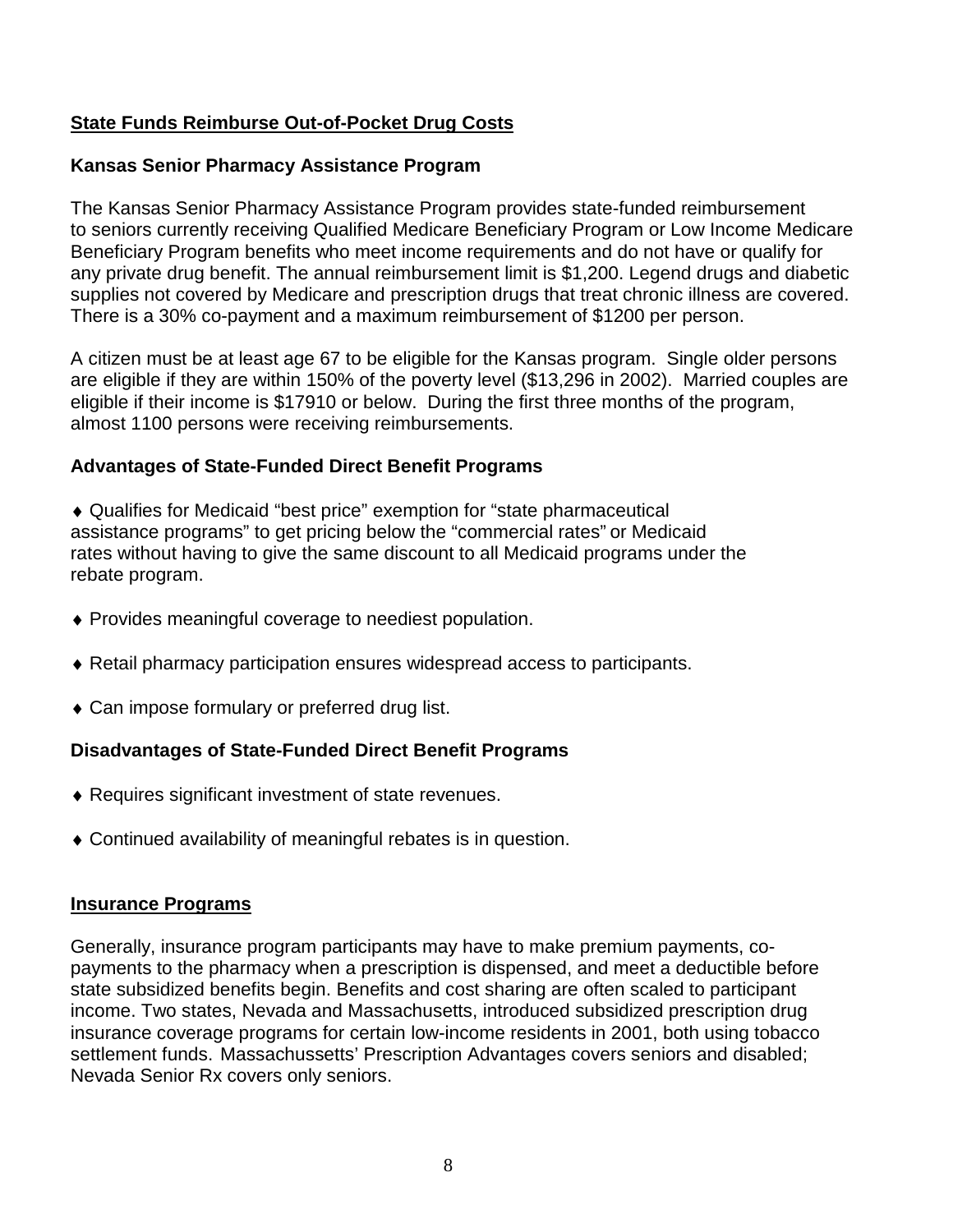## **State Funds Reimburse Out-of-Pocket Drug Costs**

#### **Kansas Senior Pharmacy Assistance Program**

The Kansas Senior Pharmacy Assistance Program provides state-funded reimbursement to seniors currently receiving Qualified Medicare Beneficiary Program or Low Income Medicare Beneficiary Program benefits who meet income requirements and do not have or qualify for any private drug benefit. The annual reimbursement limit is \$1,200. Legend drugs and diabetic supplies not covered by Medicare and prescription drugs that treat chronic illness are covered. There is a 30% co-payment and a maximum reimbursement of \$1200 per person.

A citizen must be at least age 67 to be eligible for the Kansas program. Single older persons are eligible if they are within 150% of the poverty level (\$13,296 in 2002). Married couples are eligible if their income is \$17910 or below. During the first three months of the program, almost 1100 persons were receiving reimbursements.

#### **Advantages of State-Funded Direct Benefit Programs**

♦ Qualifies for Medicaid "best price" exemption for "state pharmaceutical assistance programs" to get pricing below the "commercial rates" or Medicaid rates without having to give the same discount to all Medicaid programs under the rebate program.

- ♦ Provides meaningful coverage to neediest population.
- ♦ Retail pharmacy participation ensures widespread access to participants.
- ♦ Can impose formulary or preferred drug list.

#### **Disadvantages of State-Funded Direct Benefit Programs**

- ♦ Requires significant investment of state revenues.
- ♦ Continued availability of meaningful rebates is in question.

#### **Insurance Programs**

Generally, insurance program participants may have to make premium payments, copayments to the pharmacy when a prescription is dispensed, and meet a deductible before state subsidized benefits begin. Benefits and cost sharing are often scaled to participant income. Two states, Nevada and Massachusetts, introduced subsidized prescription drug insurance coverage programs for certain low-income residents in 2001, both using tobacco settlement funds. Massachussetts' Prescription Advantages covers seniors and disabled; Nevada Senior Rx covers only seniors.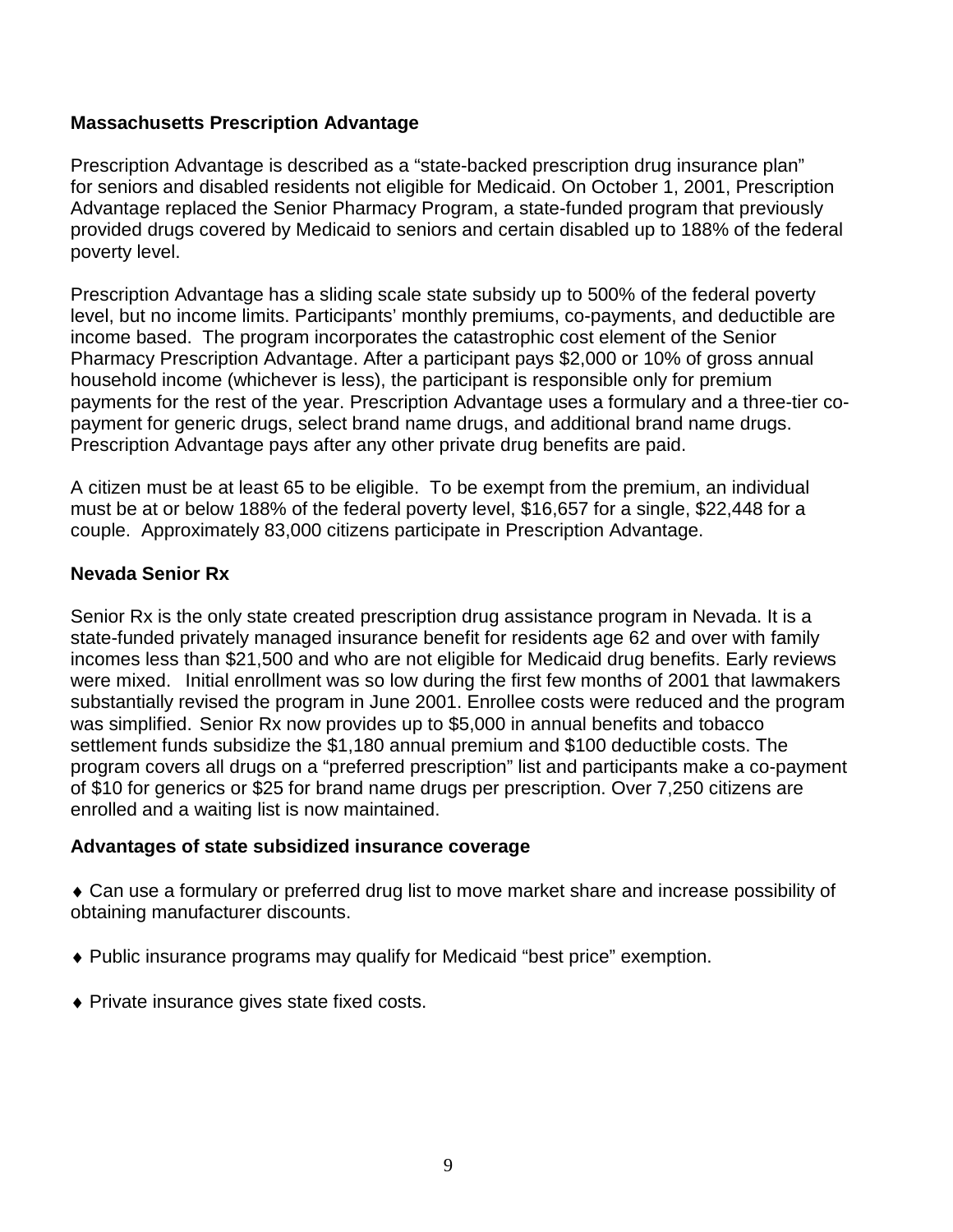#### **Massachusetts Prescription Advantage**

Prescription Advantage is described as a "state-backed prescription drug insurance plan" for seniors and disabled residents not eligible for Medicaid. On October 1, 2001, Prescription Advantage replaced the Senior Pharmacy Program, a state-funded program that previously provided drugs covered by Medicaid to seniors and certain disabled up to 188% of the federal poverty level.

Prescription Advantage has a sliding scale state subsidy up to 500% of the federal poverty level, but no income limits. Participants' monthly premiums, co-payments, and deductible are income based. The program incorporates the catastrophic cost element of the Senior Pharmacy Prescription Advantage. After a participant pays \$2,000 or 10% of gross annual household income (whichever is less), the participant is responsible only for premium payments for the rest of the year. Prescription Advantage uses a formulary and a three-tier copayment for generic drugs, select brand name drugs, and additional brand name drugs. Prescription Advantage pays after any other private drug benefits are paid.

A citizen must be at least 65 to be eligible. To be exempt from the premium, an individual must be at or below 188% of the federal poverty level, \$16,657 for a single, \$22,448 for a couple. Approximately 83,000 citizens participate in Prescription Advantage.

#### **Nevada Senior Rx**

Senior Rx is the only state created prescription drug assistance program in Nevada. It is a state-funded privately managed insurance benefit for residents age 62 and over with family incomes less than \$21,500 and who are not eligible for Medicaid drug benefits. Early reviews were mixed. Initial enrollment was so low during the first few months of 2001 that lawmakers substantially revised the program in June 2001. Enrollee costs were reduced and the program was simplified. Senior Rx now provides up to \$5,000 in annual benefits and tobacco settlement funds subsidize the \$1,180 annual premium and \$100 deductible costs. The program covers all drugs on a "preferred prescription" list and participants make a co-payment of \$10 for generics or \$25 for brand name drugs per prescription. Over 7,250 citizens are enrolled and a waiting list is now maintained.

#### **Advantages of state subsidized insurance coverage**

♦ Can use a formulary or preferred drug list to move market share and increase possibility of obtaining manufacturer discounts.

- ♦ Public insurance programs may qualify for Medicaid "best price" exemption.
- ♦ Private insurance gives state fixed costs.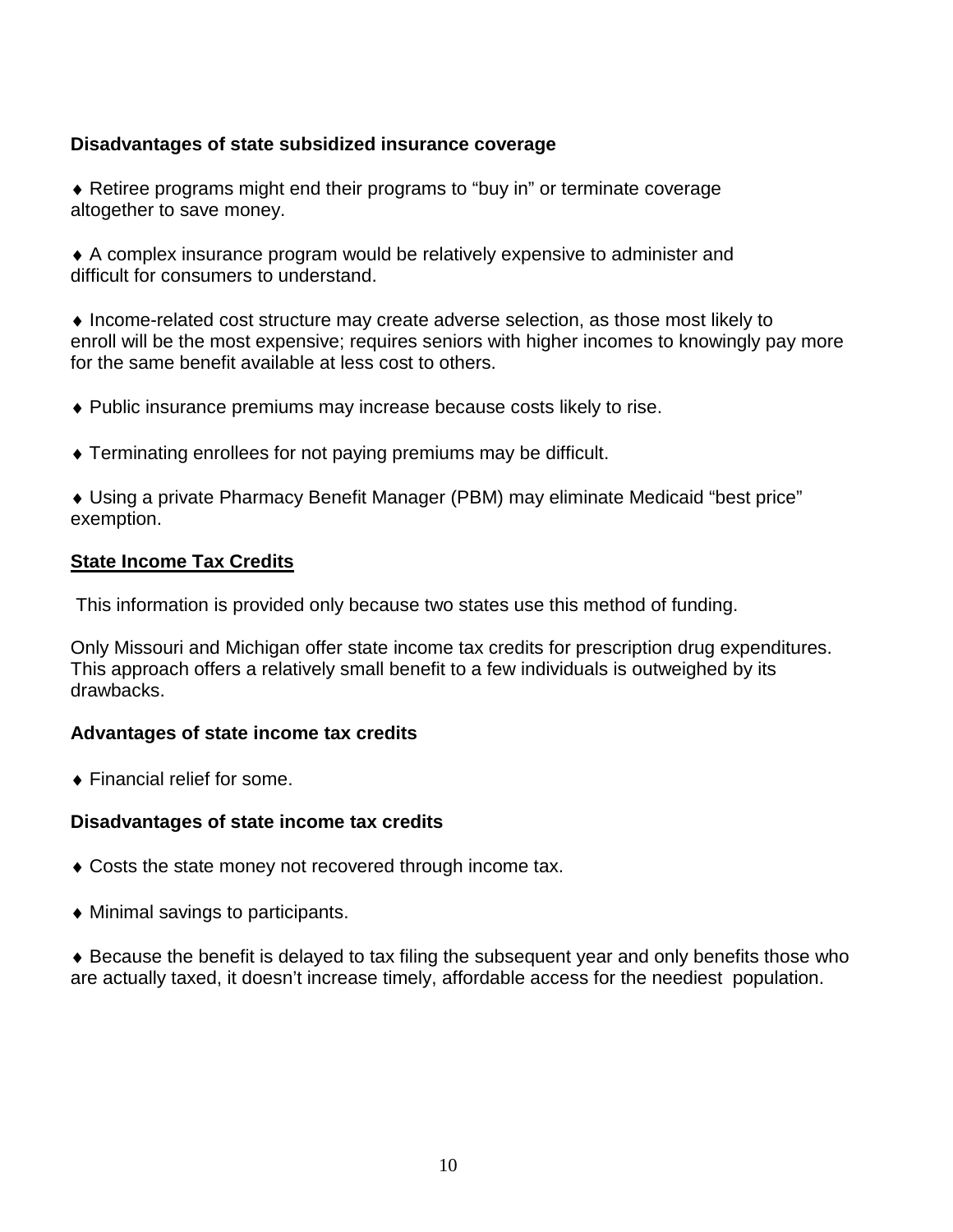#### **Disadvantages of state subsidized insurance coverage**

♦ Retiree programs might end their programs to "buy in" or terminate coverage altogether to save money.

♦ A complex insurance program would be relatively expensive to administer and difficult for consumers to understand.

♦ Income-related cost structure may create adverse selection, as those most likely to enroll will be the most expensive; requires seniors with higher incomes to knowingly pay more for the same benefit available at less cost to others.

- ♦ Public insurance premiums may increase because costs likely to rise.
- ♦ Terminating enrollees for not paying premiums may be difficult.

♦ Using a private Pharmacy Benefit Manager (PBM) may eliminate Medicaid "best price" exemption.

#### **State Income Tax Credits**

This information is provided only because two states use this method of funding.

Only Missouri and Michigan offer state income tax credits for prescription drug expenditures. This approach offers a relatively small benefit to a few individuals is outweighed by its drawbacks.

#### **Advantages of state income tax credits**

♦ Financial relief for some.

#### **Disadvantages of state income tax credits**

- ♦ Costs the state money not recovered through income tax.
- $\blacklozenge$  Minimal savings to participants.

♦ Because the benefit is delayed to tax filing the subsequent year and only benefits those who are actually taxed, it doesn't increase timely, affordable access for the neediest population.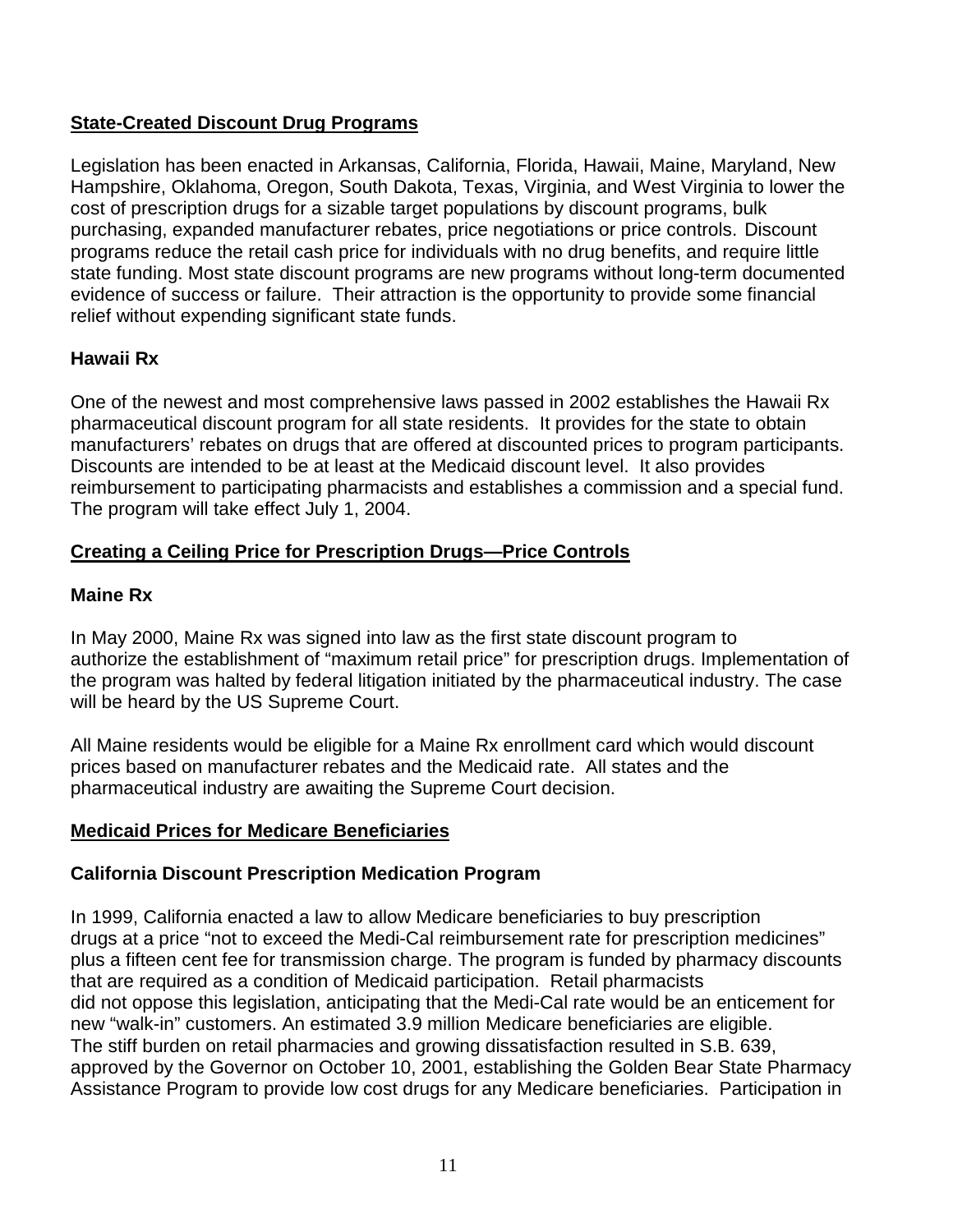## **State-Created Discount Drug Programs**

Legislation has been enacted in Arkansas, California, Florida, Hawaii, Maine, Maryland, New Hampshire, Oklahoma, Oregon, South Dakota, Texas, Virginia, and West Virginia to lower the cost of prescription drugs for a sizable target populations by discount programs, bulk purchasing, expanded manufacturer rebates, price negotiations or price controls. Discount programs reduce the retail cash price for individuals with no drug benefits, and require little state funding. Most state discount programs are new programs without long-term documented evidence of success or failure. Their attraction is the opportunity to provide some financial relief without expending significant state funds.

## **Hawaii Rx**

One of the newest and most comprehensive laws passed in 2002 establishes the Hawaii Rx pharmaceutical discount program for all state residents. It provides for the state to obtain manufacturers' rebates on drugs that are offered at discounted prices to program participants. Discounts are intended to be at least at the Medicaid discount level. It also provides reimbursement to participating pharmacists and establishes a commission and a special fund. The program will take effect July 1, 2004.

## **Creating a Ceiling Price for Prescription Drugs—Price Controls**

## **Maine Rx**

In May 2000, Maine Rx was signed into law as the first state discount program to authorize the establishment of "maximum retail price" for prescription drugs. Implementation of the program was halted by federal litigation initiated by the pharmaceutical industry. The case will be heard by the US Supreme Court.

All Maine residents would be eligible for a Maine Rx enrollment card which would discount prices based on manufacturer rebates and the Medicaid rate. All states and the pharmaceutical industry are awaiting the Supreme Court decision.

## **Medicaid Prices for Medicare Beneficiaries**

## **California Discount Prescription Medication Program**

In 1999, California enacted a law to allow Medicare beneficiaries to buy prescription drugs at a price "not to exceed the Medi-Cal reimbursement rate for prescription medicines" plus a fifteen cent fee for transmission charge. The program is funded by pharmacy discounts that are required as a condition of Medicaid participation. Retail pharmacists did not oppose this legislation, anticipating that the Medi-Cal rate would be an enticement for new "walk-in" customers. An estimated 3.9 million Medicare beneficiaries are eligible. The stiff burden on retail pharmacies and growing dissatisfaction resulted in S.B. 639, approved by the Governor on October 10, 2001, establishing the Golden Bear State Pharmacy Assistance Program to provide low cost drugs for any Medicare beneficiaries. Participation in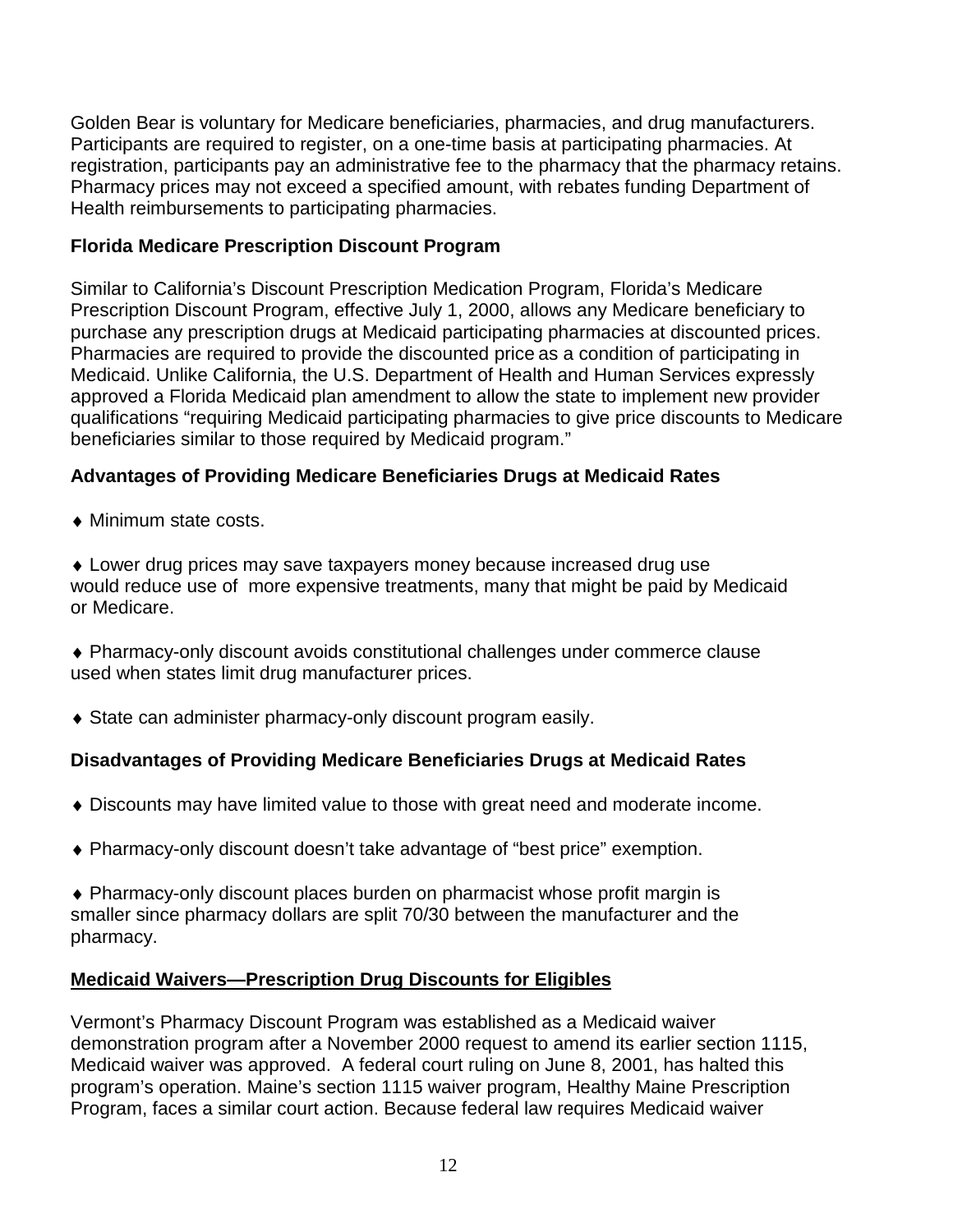Golden Bear is voluntary for Medicare beneficiaries, pharmacies, and drug manufacturers. Participants are required to register, on a one-time basis at participating pharmacies. At registration, participants pay an administrative fee to the pharmacy that the pharmacy retains. Pharmacy prices may not exceed a specified amount, with rebates funding Department of Health reimbursements to participating pharmacies.

## **Florida Medicare Prescription Discount Program**

Similar to California's Discount Prescription Medication Program, Florida's Medicare Prescription Discount Program, effective July 1, 2000, allows any Medicare beneficiary to purchase any prescription drugs at Medicaid participating pharmacies at discounted prices. Pharmacies are required to provide the discounted price as a condition of participating in Medicaid. Unlike California, the U.S. Department of Health and Human Services expressly approved a Florida Medicaid plan amendment to allow the state to implement new provider qualifications "requiring Medicaid participating pharmacies to give price discounts to Medicare beneficiaries similar to those required by Medicaid program."

## **Advantages of Providing Medicare Beneficiaries Drugs at Medicaid Rates**

♦ Minimum state costs.

♦ Lower drug prices may save taxpayers money because increased drug use would reduce use of more expensive treatments, many that might be paid by Medicaid or Medicare.

- ♦ Pharmacy-only discount avoids constitutional challenges under commerce clause used when states limit drug manufacturer prices.
- ♦ State can administer pharmacy-only discount program easily.

## **Disadvantages of Providing Medicare Beneficiaries Drugs at Medicaid Rates**

- ♦ Discounts may have limited value to those with great need and moderate income.
- ♦ Pharmacy-only discount doesn't take advantage of "best price" exemption.
- ♦ Pharmacy-only discount places burden on pharmacist whose profit margin is smaller since pharmacy dollars are split 70/30 between the manufacturer and the pharmacy.

## **Medicaid Waivers—Prescription Drug Discounts for Eligibles**

Vermont's Pharmacy Discount Program was established as a Medicaid waiver demonstration program after a November 2000 request to amend its earlier section 1115, Medicaid waiver was approved. A federal court ruling on June 8, 2001, has halted this program's operation. Maine's section 1115 waiver program, Healthy Maine Prescription Program, faces a similar court action. Because federal law requires Medicaid waiver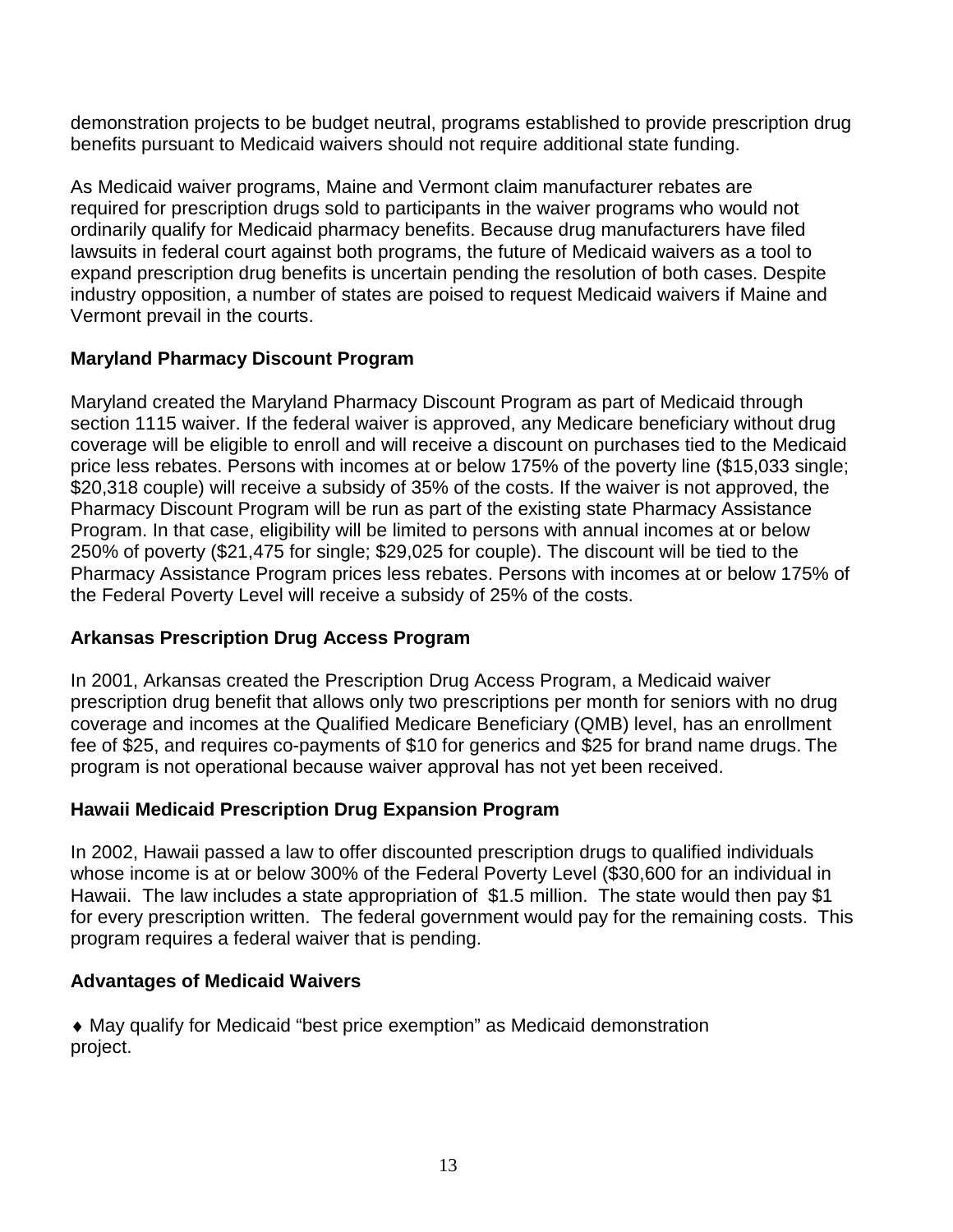demonstration projects to be budget neutral, programs established to provide prescription drug benefits pursuant to Medicaid waivers should not require additional state funding.

As Medicaid waiver programs, Maine and Vermont claim manufacturer rebates are required for prescription drugs sold to participants in the waiver programs who would not ordinarily qualify for Medicaid pharmacy benefits. Because drug manufacturers have filed lawsuits in federal court against both programs, the future of Medicaid waivers as a tool to expand prescription drug benefits is uncertain pending the resolution of both cases. Despite industry opposition, a number of states are poised to request Medicaid waivers if Maine and Vermont prevail in the courts.

## **Maryland Pharmacy Discount Program**

Maryland created the Maryland Pharmacy Discount Program as part of Medicaid through section 1115 waiver. If the federal waiver is approved, any Medicare beneficiary without drug coverage will be eligible to enroll and will receive a discount on purchases tied to the Medicaid price less rebates. Persons with incomes at or below 175% of the poverty line (\$15,033 single; \$20,318 couple) will receive a subsidy of 35% of the costs. If the waiver is not approved, the Pharmacy Discount Program will be run as part of the existing state Pharmacy Assistance Program. In that case, eligibility will be limited to persons with annual incomes at or below 250% of poverty (\$21,475 for single; \$29,025 for couple). The discount will be tied to the Pharmacy Assistance Program prices less rebates. Persons with incomes at or below 175% of the Federal Poverty Level will receive a subsidy of 25% of the costs.

## **Arkansas Prescription Drug Access Program**

In 2001, Arkansas created the Prescription Drug Access Program, a Medicaid waiver prescription drug benefit that allows only two prescriptions per month for seniors with no drug coverage and incomes at the Qualified Medicare Beneficiary (QMB) level, has an enrollment fee of \$25, and requires co-payments of \$10 for generics and \$25 for brand name drugs. The program is not operational because waiver approval has not yet been received.

## **Hawaii Medicaid Prescription Drug Expansion Program**

In 2002, Hawaii passed a law to offer discounted prescription drugs to qualified individuals whose income is at or below 300% of the Federal Poverty Level (\$30,600 for an individual in Hawaii. The law includes a state appropriation of \$1.5 million. The state would then pay \$1 for every prescription written. The federal government would pay for the remaining costs. This program requires a federal waiver that is pending.

## **Advantages of Medicaid Waivers**

♦ May qualify for Medicaid "best price exemption" as Medicaid demonstration project.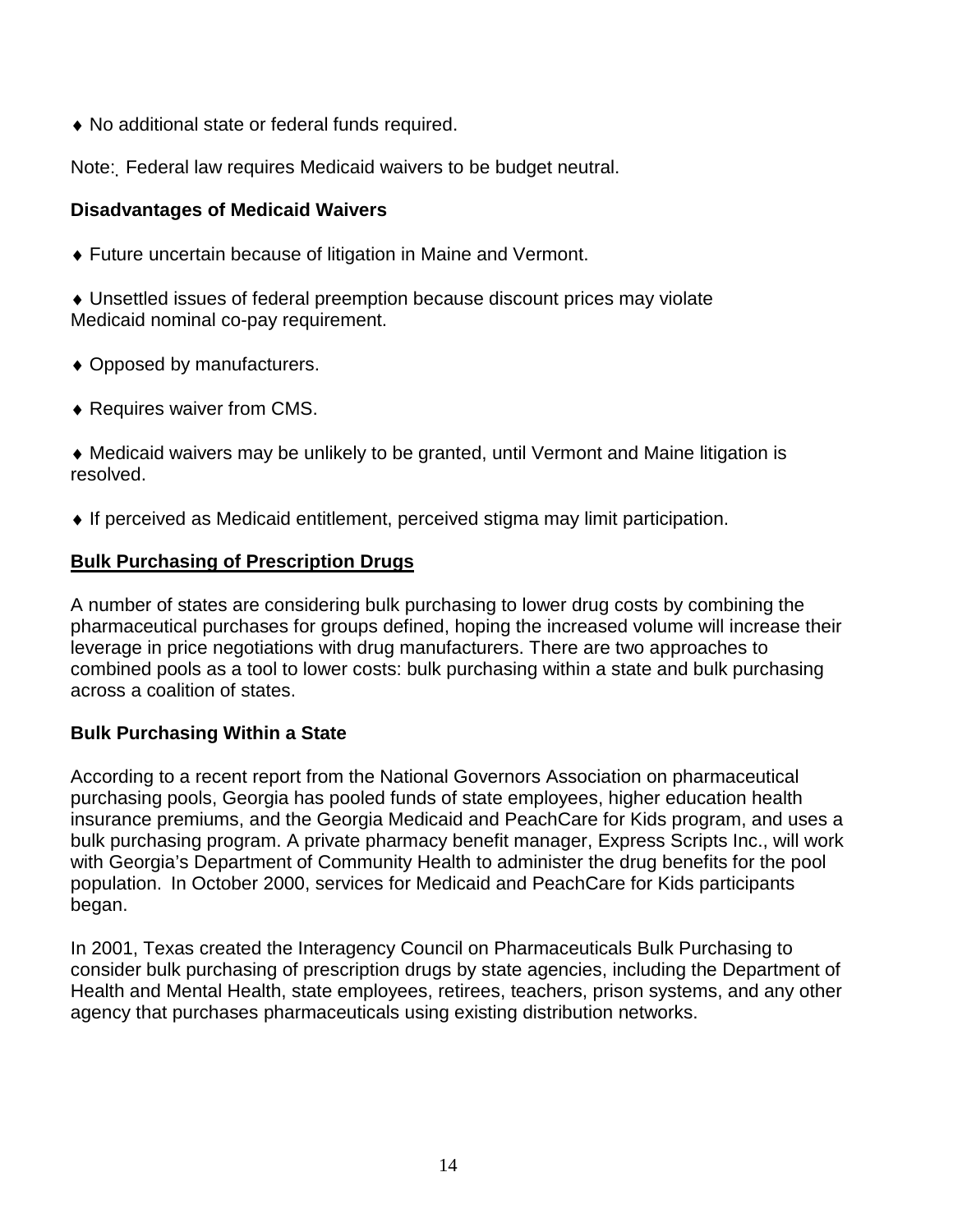♦ No additional state or federal funds required.

Note: Federal law requires Medicaid waivers to be budget neutral.

#### **Disadvantages of Medicaid Waivers**

♦ Future uncertain because of litigation in Maine and Vermont.

♦ Unsettled issues of federal preemption because discount prices may violate Medicaid nominal co-pay requirement.

- ♦ Opposed by manufacturers.
- ♦ Requires waiver from CMS.

♦ Medicaid waivers may be unlikely to be granted, until Vermont and Maine litigation is resolved.

♦ If perceived as Medicaid entitlement, perceived stigma may limit participation.

#### **Bulk Purchasing of Prescription Drugs**

A number of states are considering bulk purchasing to lower drug costs by combining the pharmaceutical purchases for groups defined, hoping the increased volume will increase their leverage in price negotiations with drug manufacturers. There are two approaches to combined pools as a tool to lower costs: bulk purchasing within a state and bulk purchasing across a coalition of states.

#### **Bulk Purchasing Within a State**

According to a recent report from the National Governors Association on pharmaceutical purchasing pools, Georgia has pooled funds of state employees, higher education health insurance premiums, and the Georgia Medicaid and PeachCare for Kids program, and uses a bulk purchasing program. A private pharmacy benefit manager, Express Scripts Inc., will work with Georgia's Department of Community Health to administer the drug benefits for the pool population. In October 2000, services for Medicaid and PeachCare for Kids participants began.

In 2001, Texas created the Interagency Council on Pharmaceuticals Bulk Purchasing to consider bulk purchasing of prescription drugs by state agencies, including the Department of Health and Mental Health, state employees, retirees, teachers, prison systems, and any other agency that purchases pharmaceuticals using existing distribution networks.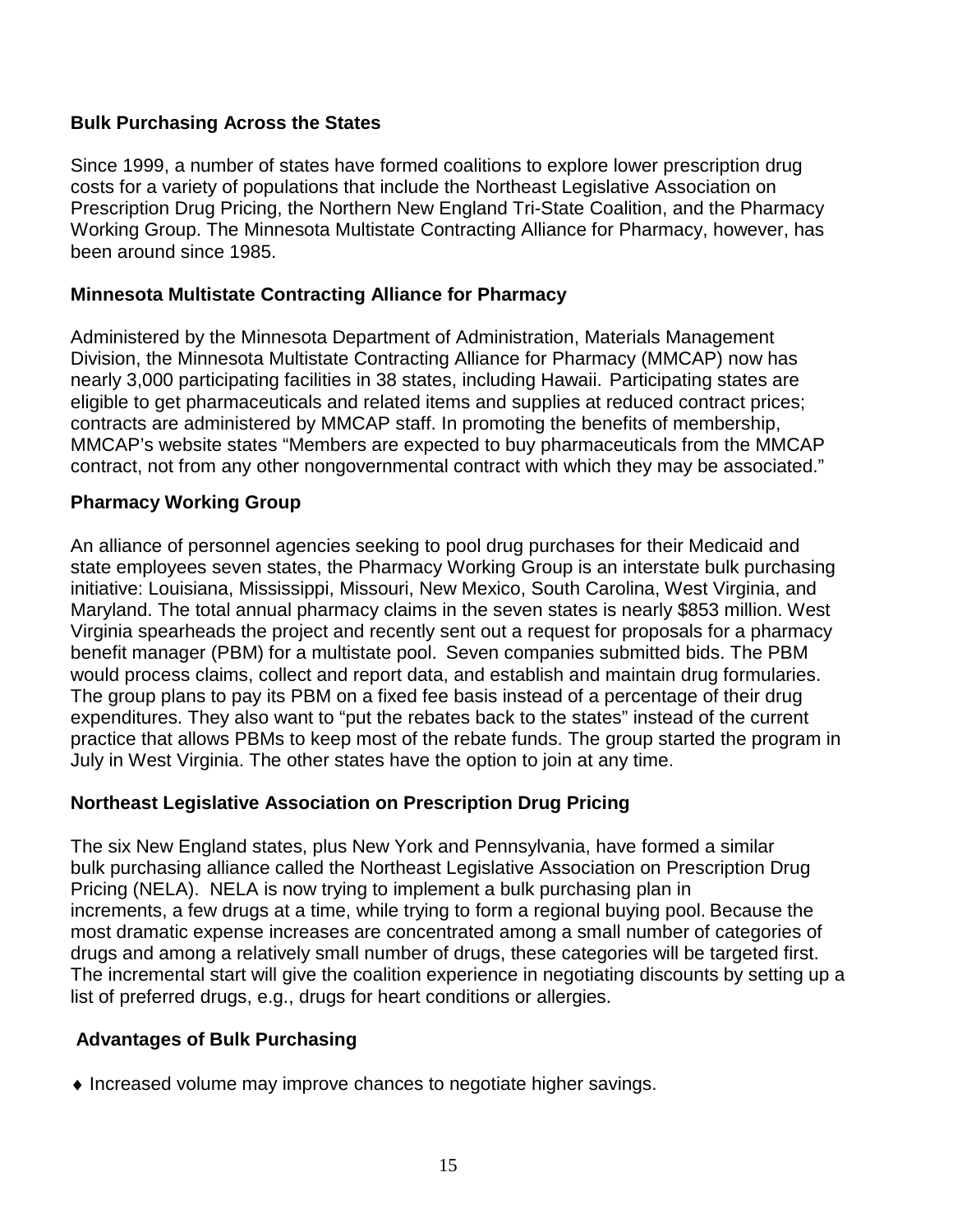#### **Bulk Purchasing Across the States**

Since 1999, a number of states have formed coalitions to explore lower prescription drug costs for a variety of populations that include the Northeast Legislative Association on Prescription Drug Pricing, the Northern New England Tri-State Coalition, and the Pharmacy Working Group. The Minnesota Multistate Contracting Alliance for Pharmacy, however, has been around since 1985.

#### **Minnesota Multistate Contracting Alliance for Pharmacy**

Administered by the Minnesota Department of Administration, Materials Management Division, the Minnesota Multistate Contracting Alliance for Pharmacy (MMCAP) now has nearly 3,000 participating facilities in 38 states, including Hawaii. Participating states are eligible to get pharmaceuticals and related items and supplies at reduced contract prices; contracts are administered by MMCAP staff. In promoting the benefits of membership, MMCAP's website states "Members are expected to buy pharmaceuticals from the MMCAP contract, not from any other nongovernmental contract with which they may be associated."

#### **Pharmacy Working Group**

An alliance of personnel agencies seeking to pool drug purchases for their Medicaid and state employees seven states, the Pharmacy Working Group is an interstate bulk purchasing initiative: Louisiana, Mississippi, Missouri, New Mexico, South Carolina, West Virginia, and Maryland. The total annual pharmacy claims in the seven states is nearly \$853 million. West Virginia spearheads the project and recently sent out a request for proposals for a pharmacy benefit manager (PBM) for a multistate pool. Seven companies submitted bids. The PBM would process claims, collect and report data, and establish and maintain drug formularies. The group plans to pay its PBM on a fixed fee basis instead of a percentage of their drug expenditures. They also want to "put the rebates back to the states" instead of the current practice that allows PBMs to keep most of the rebate funds. The group started the program in July in West Virginia. The other states have the option to join at any time.

## **Northeast Legislative Association on Prescription Drug Pricing**

The six New England states, plus New York and Pennsylvania, have formed a similar bulk purchasing alliance called the Northeast Legislative Association on Prescription Drug Pricing (NELA). NELA is now trying to implement a bulk purchasing plan in increments, a few drugs at a time, while trying to form a regional buying pool. Because the most dramatic expense increases are concentrated among a small number of categories of drugs and among a relatively small number of drugs, these categories will be targeted first. The incremental start will give the coalition experience in negotiating discounts by setting up a list of preferred drugs, e.g., drugs for heart conditions or allergies.

## **Advantages of Bulk Purchasing**

♦ Increased volume may improve chances to negotiate higher savings.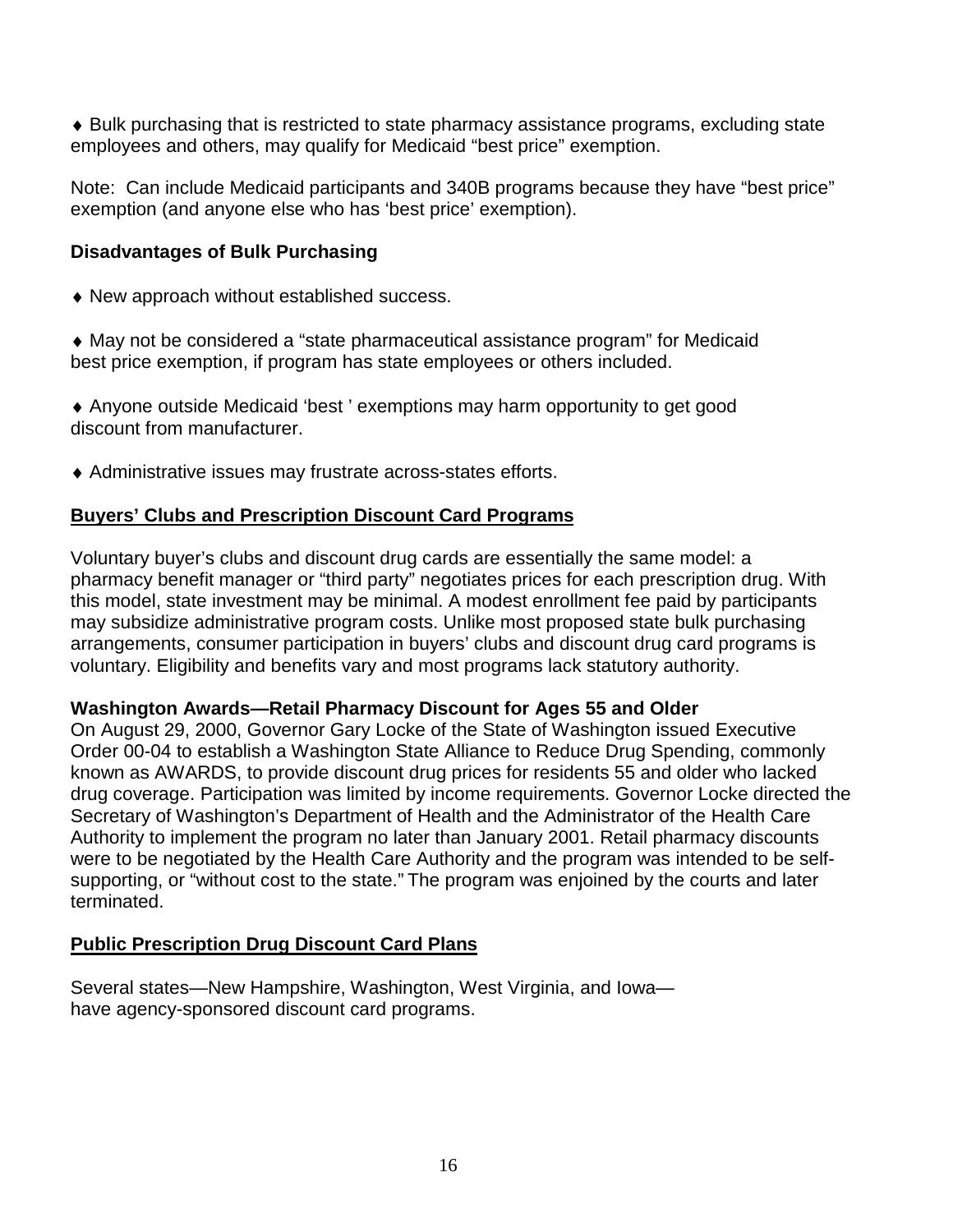♦ Bulk purchasing that is restricted to state pharmacy assistance programs, excluding state employees and others, may qualify for Medicaid "best price" exemption.

Note: Can include Medicaid participants and 340B programs because they have "best price" exemption (and anyone else who has 'best price' exemption).

#### **Disadvantages of Bulk Purchasing**

- ♦ New approach without established success.
- ♦ May not be considered a "state pharmaceutical assistance program" for Medicaid best price exemption, if program has state employees or others included.

♦ Anyone outside Medicaid 'best ' exemptions may harm opportunity to get good discount from manufacturer.

♦ Administrative issues may frustrate across-states efforts.

## **Buyers' Clubs and Prescription Discount Card Programs**

Voluntary buyer's clubs and discount drug cards are essentially the same model: a pharmacy benefit manager or "third party" negotiates prices for each prescription drug. With this model, state investment may be minimal. A modest enrollment fee paid by participants may subsidize administrative program costs. Unlike most proposed state bulk purchasing arrangements, consumer participation in buyers' clubs and discount drug card programs is voluntary. Eligibility and benefits vary and most programs lack statutory authority.

#### **Washington Awards—Retail Pharmacy Discount for Ages 55 and Older**

On August 29, 2000, Governor Gary Locke of the State of Washington issued Executive Order 00-04 to establish a Washington State Alliance to Reduce Drug Spending, commonly known as AWARDS, to provide discount drug prices for residents 55 and older who lacked drug coverage. Participation was limited by income requirements. Governor Locke directed the Secretary of Washington's Department of Health and the Administrator of the Health Care Authority to implement the program no later than January 2001. Retail pharmacy discounts were to be negotiated by the Health Care Authority and the program was intended to be selfsupporting, or "without cost to the state." The program was enjoined by the courts and later terminated.

## **Public Prescription Drug Discount Card Plans**

Several states—New Hampshire, Washington, West Virginia, and Iowa have agency-sponsored discount card programs.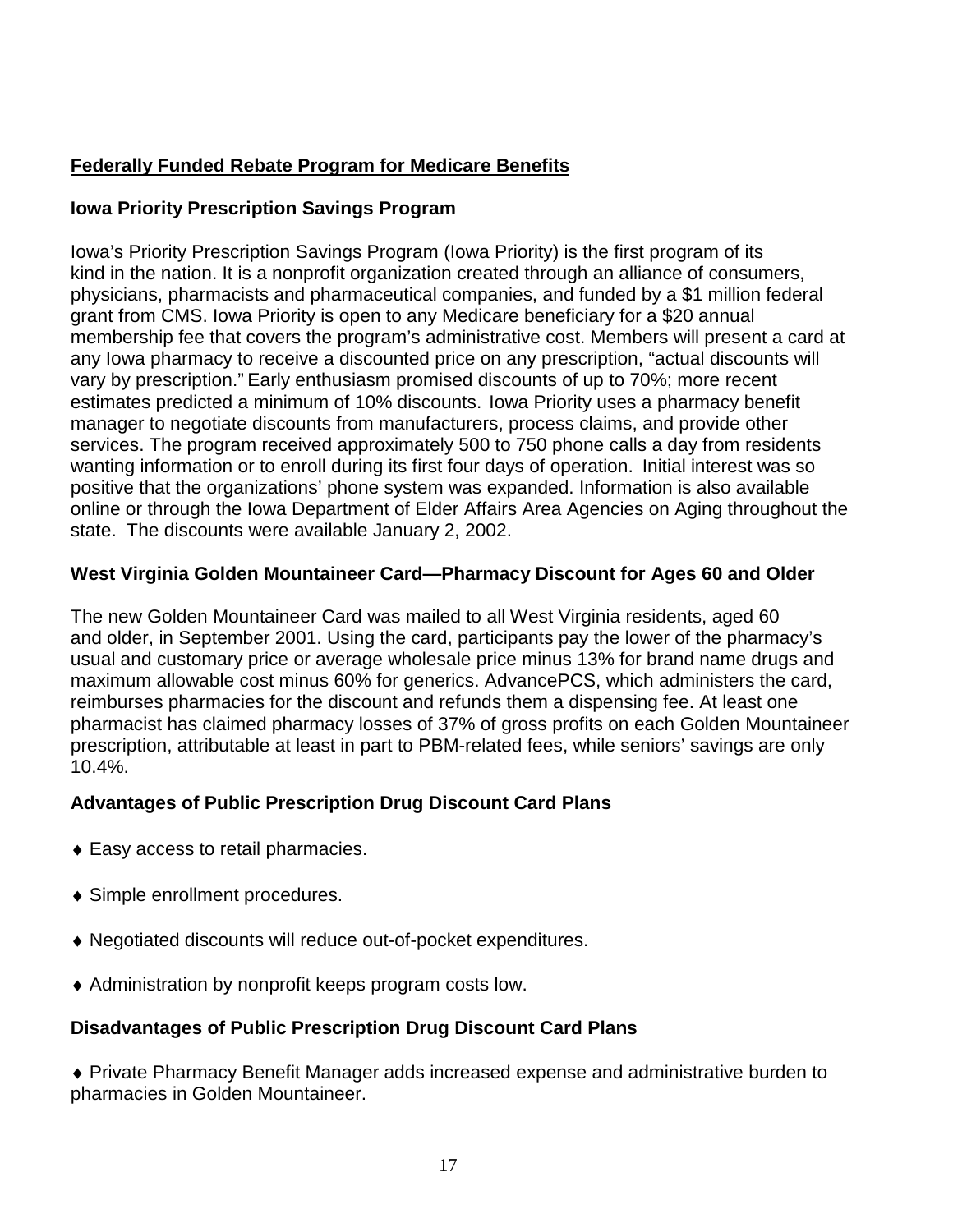## **Federally Funded Rebate Program for Medicare Benefits**

## **Iowa Priority Prescription Savings Program**

Iowa's Priority Prescription Savings Program (Iowa Priority) is the first program of its kind in the nation. It is a nonprofit organization created through an alliance of consumers, physicians, pharmacists and pharmaceutical companies, and funded by a \$1 million federal grant from CMS. Iowa Priority is open to any Medicare beneficiary for a \$20 annual membership fee that covers the program's administrative cost. Members will present a card at any Iowa pharmacy to receive a discounted price on any prescription, "actual discounts will vary by prescription." Early enthusiasm promised discounts of up to 70%; more recent estimates predicted a minimum of 10% discounts. Iowa Priority uses a pharmacy benefit manager to negotiate discounts from manufacturers, process claims, and provide other services. The program received approximately 500 to 750 phone calls a day from residents wanting information or to enroll during its first four days of operation. Initial interest was so positive that the organizations' phone system was expanded. Information is also available online or through the Iowa Department of Elder Affairs Area Agencies on Aging throughout the state. The discounts were available January 2, 2002.

## **West Virginia Golden Mountaineer Card—Pharmacy Discount for Ages 60 and Older**

The new Golden Mountaineer Card was mailed to all West Virginia residents, aged 60 and older, in September 2001. Using the card, participants pay the lower of the pharmacy's usual and customary price or average wholesale price minus 13% for brand name drugs and maximum allowable cost minus 60% for generics. AdvancePCS, which administers the card, reimburses pharmacies for the discount and refunds them a dispensing fee. At least one pharmacist has claimed pharmacy losses of 37% of gross profits on each Golden Mountaineer prescription, attributable at least in part to PBM-related fees, while seniors' savings are only 10.4%.

## **Advantages of Public Prescription Drug Discount Card Plans**

- ♦ Easy access to retail pharmacies.
- ♦ Simple enrollment procedures.
- ♦ Negotiated discounts will reduce out-of-pocket expenditures.
- ♦ Administration by nonprofit keeps program costs low.

## **Disadvantages of Public Prescription Drug Discount Card Plans**

♦ Private Pharmacy Benefit Manager adds increased expense and administrative burden to pharmacies in Golden Mountaineer.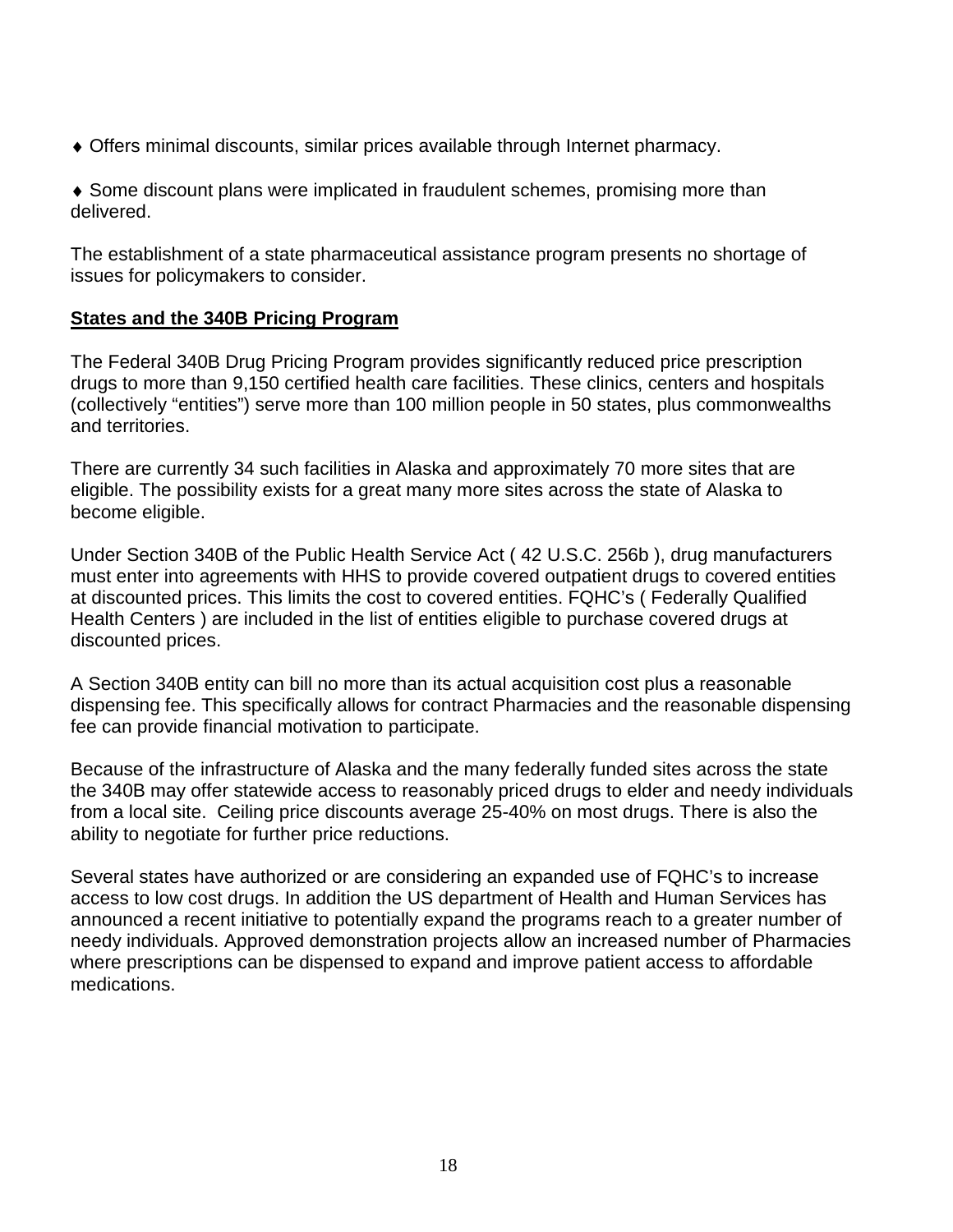♦ Offers minimal discounts, similar prices available through Internet pharmacy.

♦ Some discount plans were implicated in fraudulent schemes, promising more than delivered.

The establishment of a state pharmaceutical assistance program presents no shortage of issues for policymakers to consider.

#### **States and the 340B Pricing Program**

The Federal 340B Drug Pricing Program provides significantly reduced price prescription drugs to more than 9,150 certified health care facilities. These clinics, centers and hospitals (collectively "entities") serve more than 100 million people in 50 states, plus commonwealths and territories.

There are currently 34 such facilities in Alaska and approximately 70 more sites that are eligible. The possibility exists for a great many more sites across the state of Alaska to become eligible.

Under Section 340B of the Public Health Service Act ( 42 U.S.C. 256b ), drug manufacturers must enter into agreements with HHS to provide covered outpatient drugs to covered entities at discounted prices. This limits the cost to covered entities. FQHC's ( Federally Qualified Health Centers ) are included in the list of entities eligible to purchase covered drugs at discounted prices.

A Section 340B entity can bill no more than its actual acquisition cost plus a reasonable dispensing fee. This specifically allows for contract Pharmacies and the reasonable dispensing fee can provide financial motivation to participate.

Because of the infrastructure of Alaska and the many federally funded sites across the state the 340B may offer statewide access to reasonably priced drugs to elder and needy individuals from a local site. Ceiling price discounts average 25-40% on most drugs. There is also the ability to negotiate for further price reductions.

Several states have authorized or are considering an expanded use of FQHC's to increase access to low cost drugs. In addition the US department of Health and Human Services has announced a recent initiative to potentially expand the programs reach to a greater number of needy individuals. Approved demonstration projects allow an increased number of Pharmacies where prescriptions can be dispensed to expand and improve patient access to affordable medications.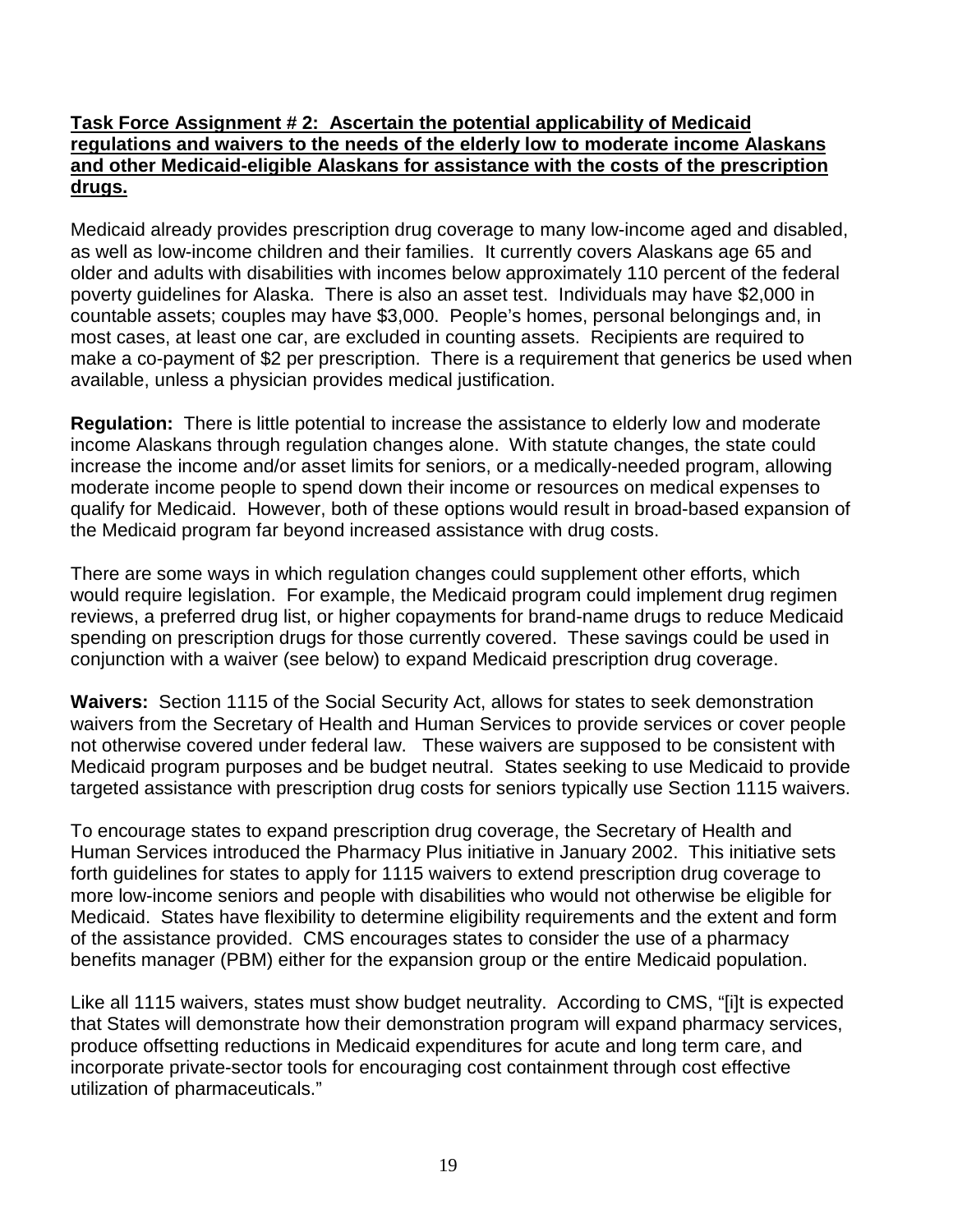#### **Task Force Assignment # 2: Ascertain the potential applicability of Medicaid regulations and waivers to the needs of the elderly low to moderate income Alaskans and other Medicaid-eligible Alaskans for assistance with the costs of the prescription drugs.**

Medicaid already provides prescription drug coverage to many low-income aged and disabled, as well as low-income children and their families. It currently covers Alaskans age 65 and older and adults with disabilities with incomes below approximately 110 percent of the federal poverty guidelines for Alaska. There is also an asset test. Individuals may have \$2,000 in countable assets; couples may have \$3,000. People's homes, personal belongings and, in most cases, at least one car, are excluded in counting assets. Recipients are required to make a co-payment of \$2 per prescription. There is a requirement that generics be used when available, unless a physician provides medical justification.

**Regulation:** There is little potential to increase the assistance to elderly low and moderate income Alaskans through regulation changes alone. With statute changes, the state could increase the income and/or asset limits for seniors, or a medically-needed program, allowing moderate income people to spend down their income or resources on medical expenses to qualify for Medicaid. However, both of these options would result in broad-based expansion of the Medicaid program far beyond increased assistance with drug costs.

There are some ways in which regulation changes could supplement other efforts, which would require legislation. For example, the Medicaid program could implement drug regimen reviews, a preferred drug list, or higher copayments for brand-name drugs to reduce Medicaid spending on prescription drugs for those currently covered. These savings could be used in conjunction with a waiver (see below) to expand Medicaid prescription drug coverage.

**Waivers:** Section 1115 of the Social Security Act, allows for states to seek demonstration waivers from the Secretary of Health and Human Services to provide services or cover people not otherwise covered under federal law. These waivers are supposed to be consistent with Medicaid program purposes and be budget neutral. States seeking to use Medicaid to provide targeted assistance with prescription drug costs for seniors typically use Section 1115 waivers.

To encourage states to expand prescription drug coverage, the Secretary of Health and Human Services introduced the Pharmacy Plus initiative in January 2002. This initiative sets forth guidelines for states to apply for 1115 waivers to extend prescription drug coverage to more low-income seniors and people with disabilities who would not otherwise be eligible for Medicaid. States have flexibility to determine eligibility requirements and the extent and form of the assistance provided. CMS encourages states to consider the use of a pharmacy benefits manager (PBM) either for the expansion group or the entire Medicaid population.

Like all 1115 waivers, states must show budget neutrality. According to CMS, "[i]t is expected that States will demonstrate how their demonstration program will expand pharmacy services, produce offsetting reductions in Medicaid expenditures for acute and long term care, and incorporate private-sector tools for encouraging cost containment through cost effective utilization of pharmaceuticals."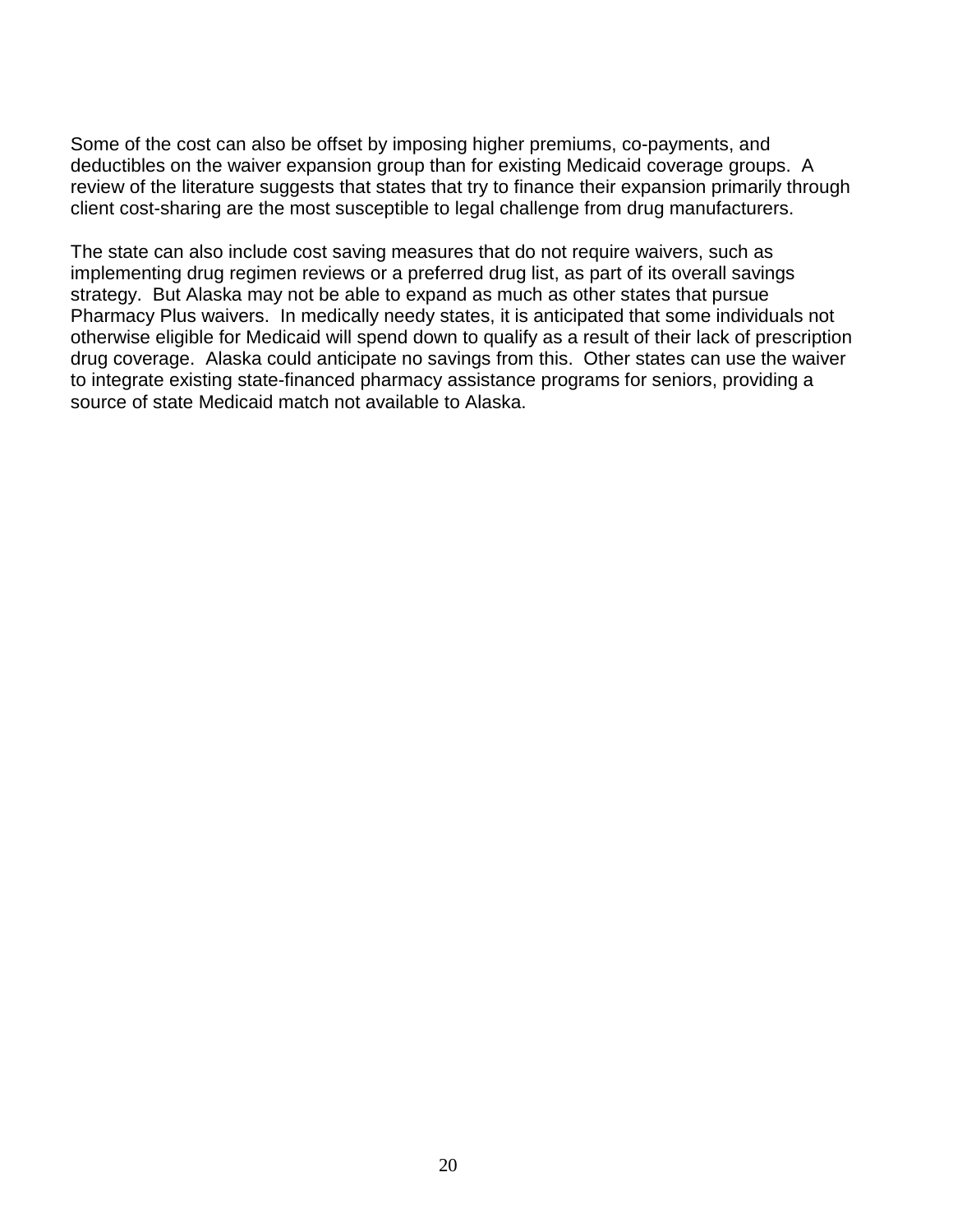Some of the cost can also be offset by imposing higher premiums, co-payments, and deductibles on the waiver expansion group than for existing Medicaid coverage groups. A review of the literature suggests that states that try to finance their expansion primarily through client cost-sharing are the most susceptible to legal challenge from drug manufacturers.

The state can also include cost saving measures that do not require waivers, such as implementing drug regimen reviews or a preferred drug list, as part of its overall savings strategy. But Alaska may not be able to expand as much as other states that pursue Pharmacy Plus waivers. In medically needy states, it is anticipated that some individuals not otherwise eligible for Medicaid will spend down to qualify as a result of their lack of prescription drug coverage. Alaska could anticipate no savings from this. Other states can use the waiver to integrate existing state-financed pharmacy assistance programs for seniors, providing a source of state Medicaid match not available to Alaska.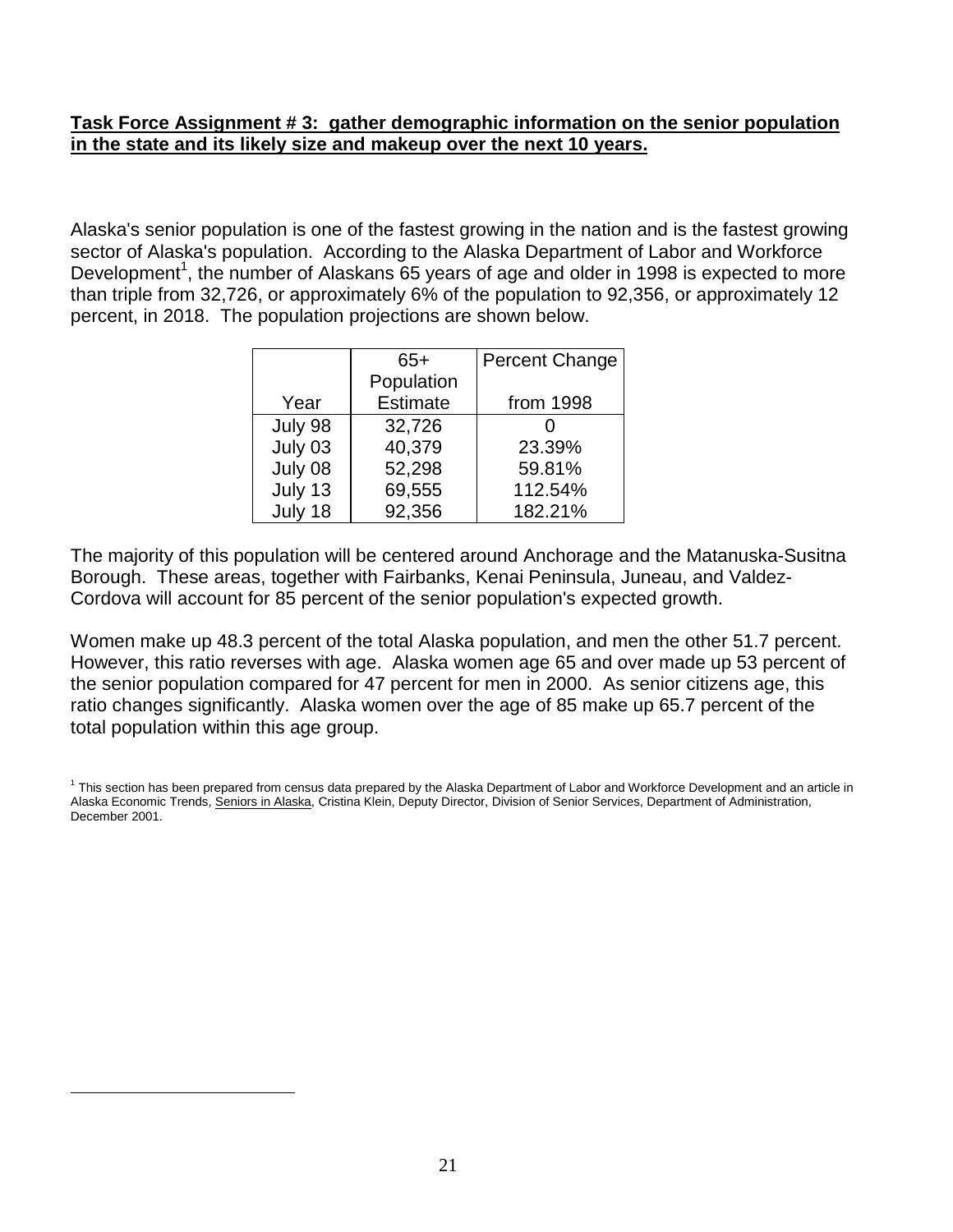#### **Task Force Assignment # 3: gather demographic information on the senior population in the state and its likely size and makeup over the next 10 years.**

Alaska's senior population is one of the fastest growing in the nation and is the fastest growing sector of Alaska's population. According to the Alaska Department of Labor and Workforce Development<sup>1</sup>, the number of Alaskans 65 years of age and older in 1998 is expected to more than triple from 32,726, or approximately 6% of the population to 92,356, or approximately 12 percent, in 2018. The population projections are shown below.

|         | 65+             | <b>Percent Change</b> |
|---------|-----------------|-----------------------|
|         | Population      |                       |
| Year    | <b>Estimate</b> | from 1998             |
| July 98 | 32,726          |                       |
| July 03 | 40,379          | 23.39%                |
| July 08 | 52,298          | 59.81%                |
| July 13 | 69,555          | 112.54%               |
| July 18 | 92,356          | 182.21%               |

The majority of this population will be centered around Anchorage and the Matanuska-Susitna Borough. These areas, together with Fairbanks, Kenai Peninsula, Juneau, and Valdez-Cordova will account for 85 percent of the senior population's expected growth.

Women make up 48.3 percent of the total Alaska population, and men the other 51.7 percent. However, this ratio reverses with age. Alaska women age 65 and over made up 53 percent of the senior population compared for 47 percent for men in 2000. As senior citizens age, this ratio changes significantly. Alaska women over the age of 85 make up 65.7 percent of the total population within this age group.

 $\overline{a}$ 

<sup>&</sup>lt;sup>1</sup> This section has been prepared from census data prepared by the Alaska Department of Labor and Workforce Development and an article in Alaska Economic Trends, Seniors in Alaska, Cristina Klein, Deputy Director, Division of Senior Services, Department of Administration, December 2001.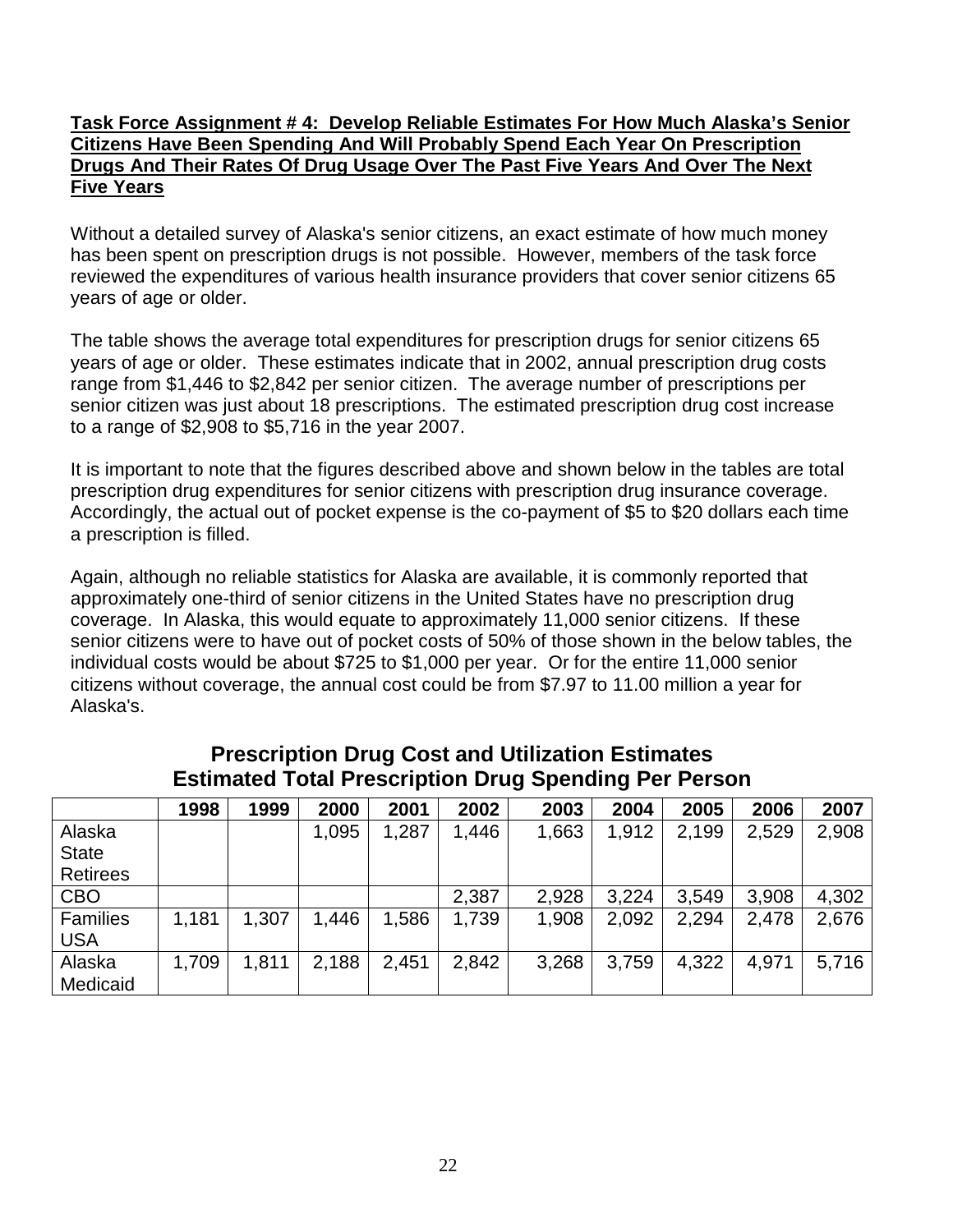#### **Task Force Assignment # 4: Develop Reliable Estimates For How Much Alaska's Senior Citizens Have Been Spending And Will Probably Spend Each Year On Prescription Drugs And Their Rates Of Drug Usage Over The Past Five Years And Over The Next Five Years**

Without a detailed survey of Alaska's senior citizens, an exact estimate of how much money has been spent on prescription drugs is not possible. However, members of the task force reviewed the expenditures of various health insurance providers that cover senior citizens 65 years of age or older.

The table shows the average total expenditures for prescription drugs for senior citizens 65 years of age or older. These estimates indicate that in 2002, annual prescription drug costs range from \$1,446 to \$2,842 per senior citizen. The average number of prescriptions per senior citizen was just about 18 prescriptions. The estimated prescription drug cost increase to a range of \$2,908 to \$5,716 in the year 2007.

It is important to note that the figures described above and shown below in the tables are total prescription drug expenditures for senior citizens with prescription drug insurance coverage. Accordingly, the actual out of pocket expense is the co-payment of \$5 to \$20 dollars each time a prescription is filled.

Again, although no reliable statistics for Alaska are available, it is commonly reported that approximately one-third of senior citizens in the United States have no prescription drug coverage. In Alaska, this would equate to approximately 11,000 senior citizens. If these senior citizens were to have out of pocket costs of 50% of those shown in the below tables, the individual costs would be about \$725 to \$1,000 per year. Or for the entire 11,000 senior citizens without coverage, the annual cost could be from \$7.97 to 11.00 million a year for Alaska's.

|                 | 1998  | 1999  | 2000  | 2001  | 2002  | 2003  | 2004  | 2005  | 2006  | 2007  |
|-----------------|-------|-------|-------|-------|-------|-------|-------|-------|-------|-------|
| Alaska          |       |       | 1,095 | 1,287 | 1,446 | 1,663 | 1,912 | 2,199 | 2,529 | 2,908 |
| <b>State</b>    |       |       |       |       |       |       |       |       |       |       |
| <b>Retirees</b> |       |       |       |       |       |       |       |       |       |       |
| <b>CBO</b>      |       |       |       |       | 2,387 | 2,928 | 3,224 | 3,549 | 3,908 | 4,302 |
| <b>Families</b> | 1,181 | 1,307 | 1,446 | 1,586 | 1,739 | 1,908 | 2,092 | 2,294 | 2,478 | 2,676 |
| <b>USA</b>      |       |       |       |       |       |       |       |       |       |       |
| Alaska          | 1,709 | 1,811 | 2,188 | 2,451 | 2,842 | 3,268 | 3,759 | 4,322 | 4,971 | 5,716 |
| Medicaid        |       |       |       |       |       |       |       |       |       |       |

## **Prescription Drug Cost and Utilization Estimates Estimated Total Prescription Drug Spending Per Person**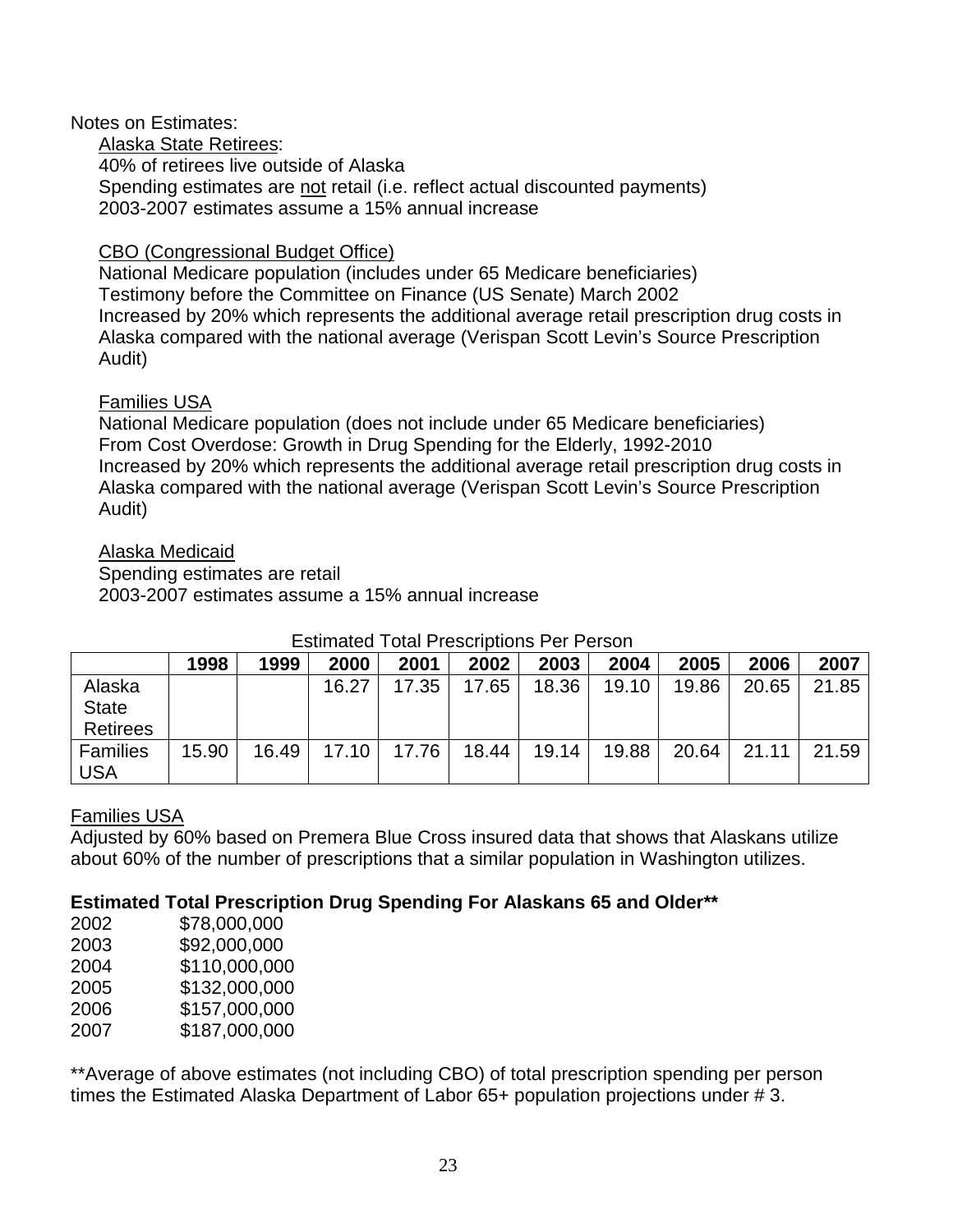#### Notes on Estimates:

Alaska State Retirees: 40% of retirees live outside of Alaska Spending estimates are not retail (i.e. reflect actual discounted payments) 2003-2007 estimates assume a 15% annual increase

## CBO (Congressional Budget Office)

National Medicare population (includes under 65 Medicare beneficiaries) Testimony before the Committee on Finance (US Senate) March 2002 Increased by 20% which represents the additional average retail prescription drug costs in Alaska compared with the national average (Verispan Scott Levin's Source Prescription Audit)

## Families USA

National Medicare population (does not include under 65 Medicare beneficiaries) From Cost Overdose: Growth in Drug Spending for the Elderly, 1992-2010 Increased by 20% which represents the additional average retail prescription drug costs in Alaska compared with the national average (Verispan Scott Levin's Source Prescription Audit)

## Alaska Medicaid

Spending estimates are retail 2003-2007 estimates assume a 15% annual increase

|                 | 1998  | 1999  | 2000  | 2001  | 2002  | 2003  | 2004  | 2005  | 2006  | 2007  |
|-----------------|-------|-------|-------|-------|-------|-------|-------|-------|-------|-------|
| Alaska          |       |       | 16.27 | 17.35 | 17.65 | 18.36 | 19.10 | 19.86 | 20.65 | 21.85 |
| <b>State</b>    |       |       |       |       |       |       |       |       |       |       |
| <b>Retirees</b> |       |       |       |       |       |       |       |       |       |       |
| <b>Families</b> | 15.90 | 16.49 | 17.10 | 17.76 | 18.44 | 19.14 | 19.88 | 20.64 | 21.11 | 21.59 |
| USA             |       |       |       |       |       |       |       |       |       |       |

## Estimated Total Prescriptions Per Person

## Families USA

Adjusted by 60% based on Premera Blue Cross insured data that shows that Alaskans utilize about 60% of the number of prescriptions that a similar population in Washington utilizes.

## **Estimated Total Prescription Drug Spending For Alaskans 65 and Older\*\***

| 2002 | \$78,000,000  |
|------|---------------|
| 2003 | \$92,000,000  |
| 2004 | \$110,000,000 |
| 2005 | \$132,000,000 |
| 2006 | \$157,000,000 |
| 2007 | \$187,000,000 |

\*\*Average of above estimates (not including CBO) of total prescription spending per person times the Estimated Alaska Department of Labor 65+ population projections under # 3.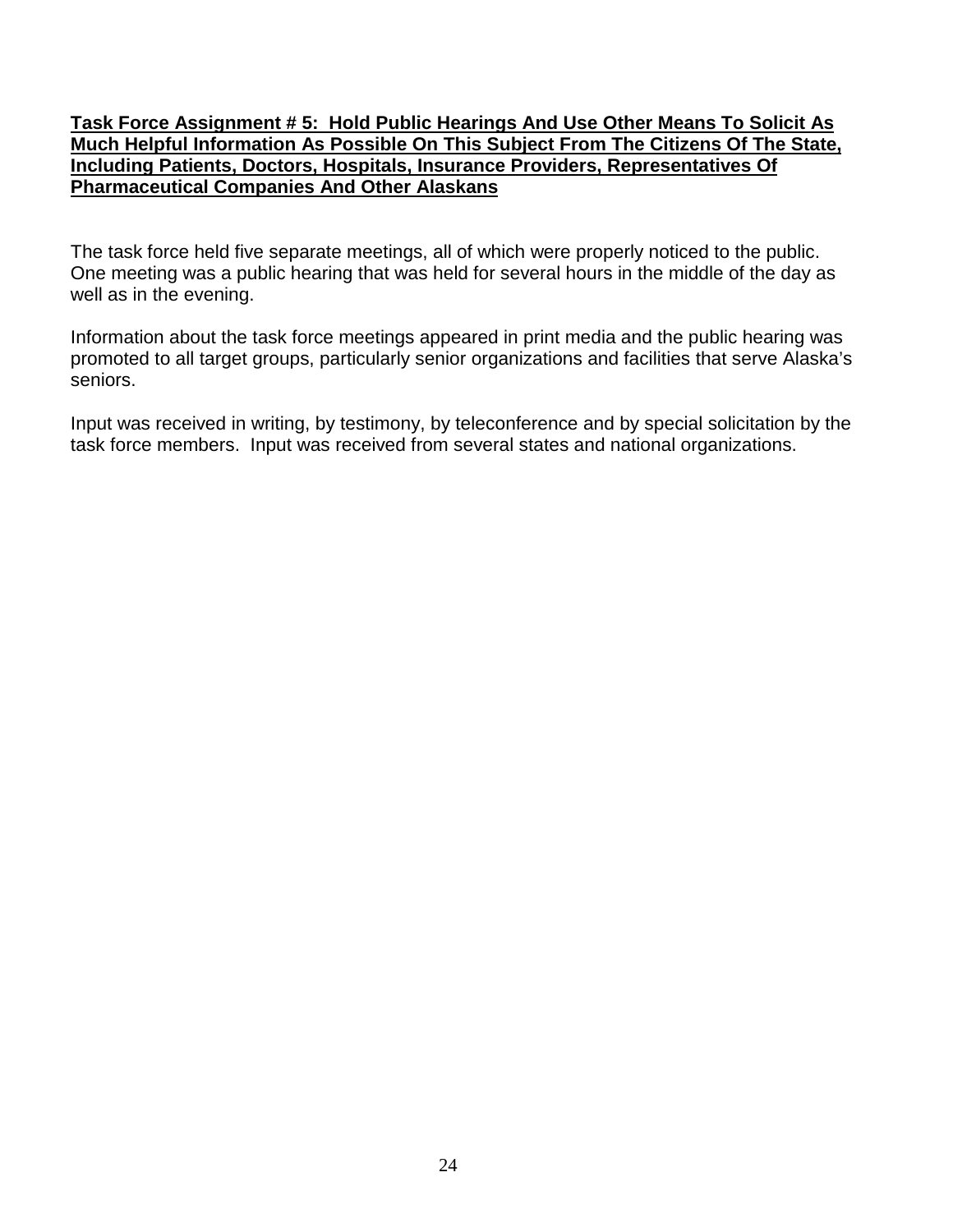#### **Task Force Assignment # 5: Hold Public Hearings And Use Other Means To Solicit As Much Helpful Information As Possible On This Subject From The Citizens Of The State, Including Patients, Doctors, Hospitals, Insurance Providers, Representatives Of Pharmaceutical Companies And Other Alaskans**

The task force held five separate meetings, all of which were properly noticed to the public. One meeting was a public hearing that was held for several hours in the middle of the day as well as in the evening.

Information about the task force meetings appeared in print media and the public hearing was promoted to all target groups, particularly senior organizations and facilities that serve Alaska's seniors.

Input was received in writing, by testimony, by teleconference and by special solicitation by the task force members. Input was received from several states and national organizations.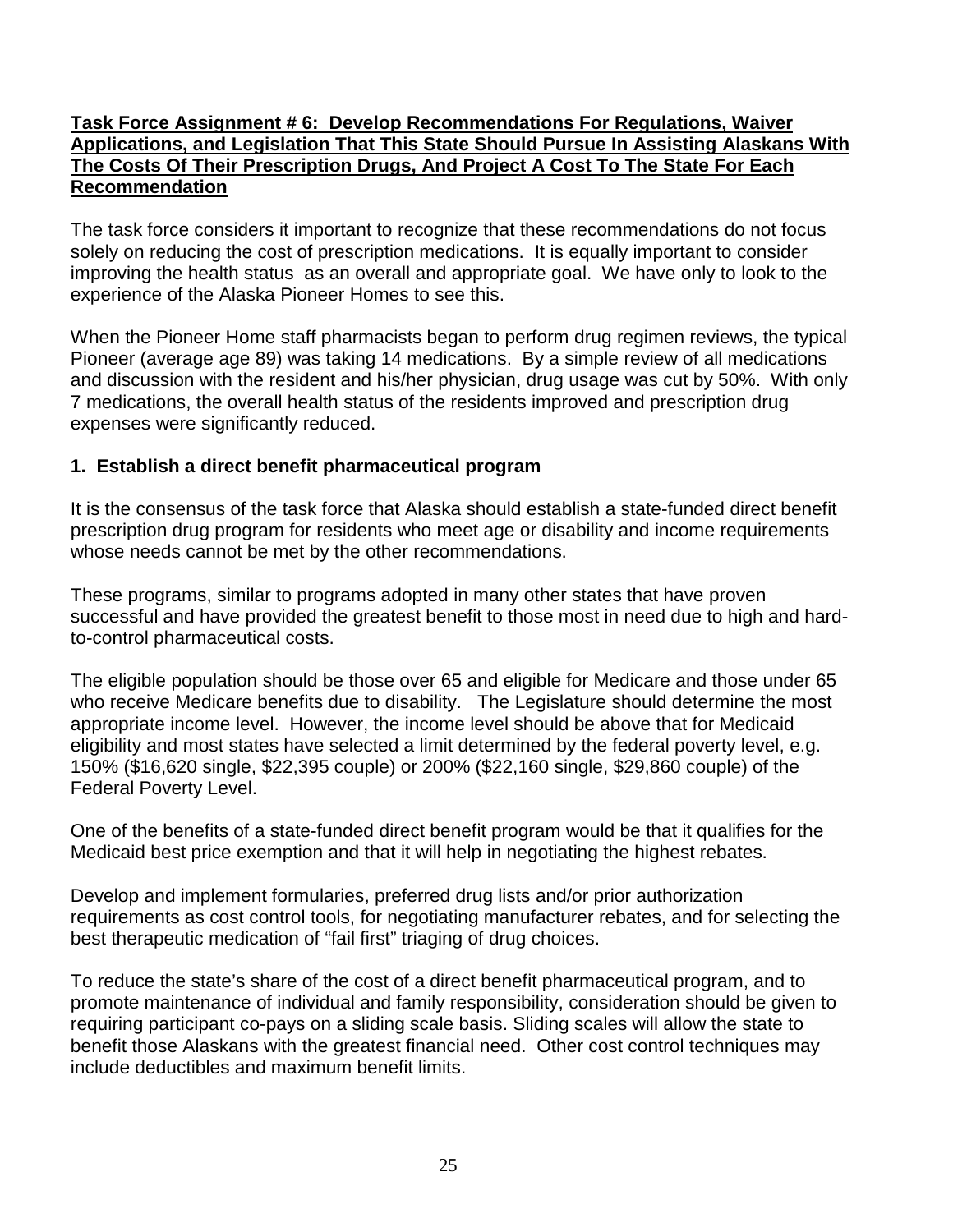#### **Task Force Assignment # 6: Develop Recommendations For Regulations, Waiver Applications, and Legislation That This State Should Pursue In Assisting Alaskans With The Costs Of Their Prescription Drugs, And Project A Cost To The State For Each Recommendation**

The task force considers it important to recognize that these recommendations do not focus solely on reducing the cost of prescription medications. It is equally important to consider improving the health status as an overall and appropriate goal. We have only to look to the experience of the Alaska Pioneer Homes to see this.

When the Pioneer Home staff pharmacists began to perform drug regimen reviews, the typical Pioneer (average age 89) was taking 14 medications. By a simple review of all medications and discussion with the resident and his/her physician, drug usage was cut by 50%. With only 7 medications, the overall health status of the residents improved and prescription drug expenses were significantly reduced.

#### **1. Establish a direct benefit pharmaceutical program**

It is the consensus of the task force that Alaska should establish a state-funded direct benefit prescription drug program for residents who meet age or disability and income requirements whose needs cannot be met by the other recommendations.

These programs, similar to programs adopted in many other states that have proven successful and have provided the greatest benefit to those most in need due to high and hardto-control pharmaceutical costs.

The eligible population should be those over 65 and eligible for Medicare and those under 65 who receive Medicare benefits due to disability. The Legislature should determine the most appropriate income level. However, the income level should be above that for Medicaid eligibility and most states have selected a limit determined by the federal poverty level, e.g. 150% (\$16,620 single, \$22,395 couple) or 200% (\$22,160 single, \$29,860 couple) of the Federal Poverty Level.

One of the benefits of a state-funded direct benefit program would be that it qualifies for the Medicaid best price exemption and that it will help in negotiating the highest rebates.

Develop and implement formularies, preferred drug lists and/or prior authorization requirements as cost control tools, for negotiating manufacturer rebates, and for selecting the best therapeutic medication of "fail first" triaging of drug choices.

To reduce the state's share of the cost of a direct benefit pharmaceutical program, and to promote maintenance of individual and family responsibility, consideration should be given to requiring participant co-pays on a sliding scale basis. Sliding scales will allow the state to benefit those Alaskans with the greatest financial need. Other cost control techniques may include deductibles and maximum benefit limits.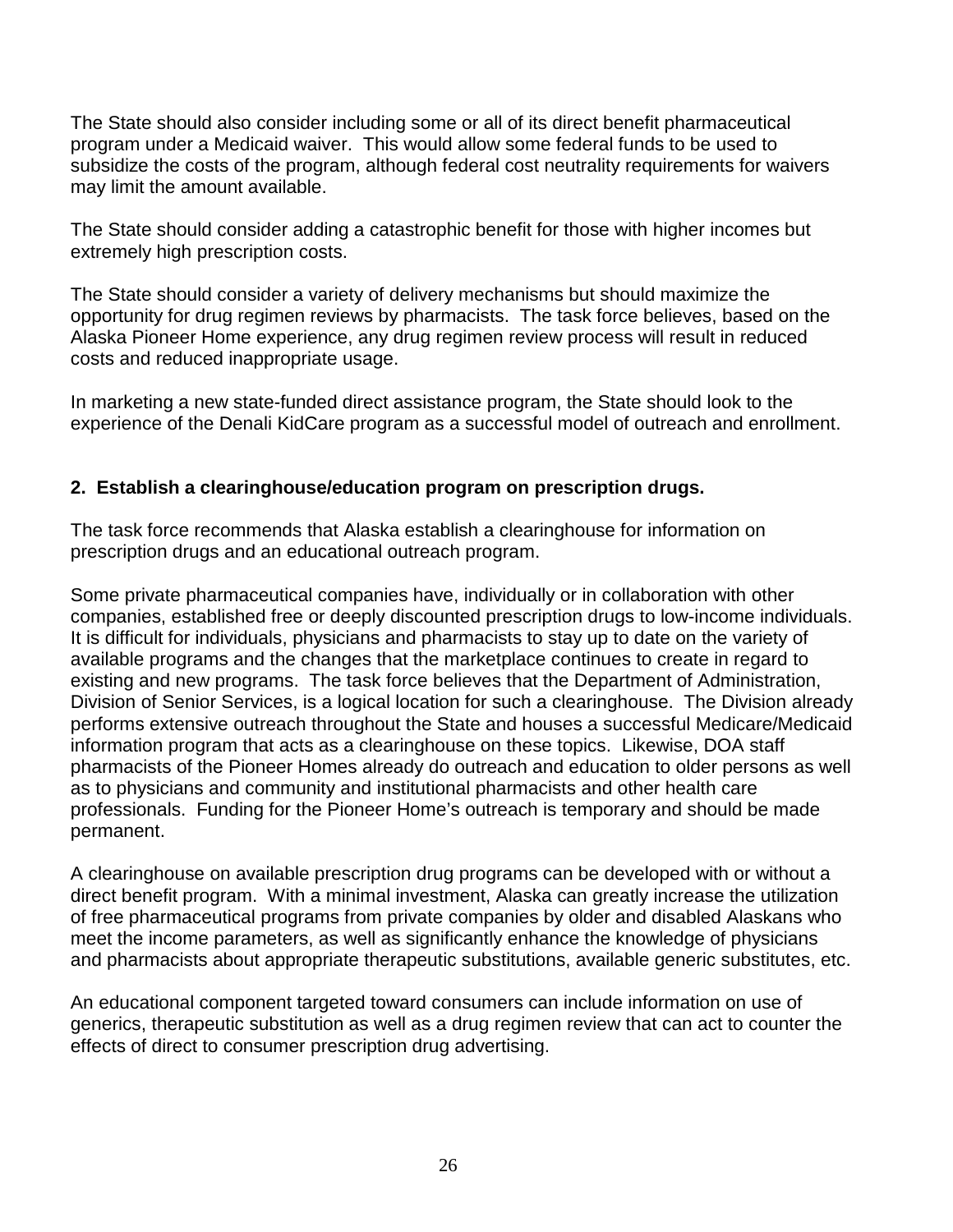The State should also consider including some or all of its direct benefit pharmaceutical program under a Medicaid waiver. This would allow some federal funds to be used to subsidize the costs of the program, although federal cost neutrality requirements for waivers may limit the amount available.

The State should consider adding a catastrophic benefit for those with higher incomes but extremely high prescription costs.

The State should consider a variety of delivery mechanisms but should maximize the opportunity for drug regimen reviews by pharmacists. The task force believes, based on the Alaska Pioneer Home experience, any drug regimen review process will result in reduced costs and reduced inappropriate usage.

In marketing a new state-funded direct assistance program, the State should look to the experience of the Denali KidCare program as a successful model of outreach and enrollment.

## **2. Establish a clearinghouse/education program on prescription drugs.**

The task force recommends that Alaska establish a clearinghouse for information on prescription drugs and an educational outreach program.

Some private pharmaceutical companies have, individually or in collaboration with other companies, established free or deeply discounted prescription drugs to low-income individuals. It is difficult for individuals, physicians and pharmacists to stay up to date on the variety of available programs and the changes that the marketplace continues to create in regard to existing and new programs. The task force believes that the Department of Administration, Division of Senior Services, is a logical location for such a clearinghouse. The Division already performs extensive outreach throughout the State and houses a successful Medicare/Medicaid information program that acts as a clearinghouse on these topics. Likewise, DOA staff pharmacists of the Pioneer Homes already do outreach and education to older persons as well as to physicians and community and institutional pharmacists and other health care professionals. Funding for the Pioneer Home's outreach is temporary and should be made permanent.

A clearinghouse on available prescription drug programs can be developed with or without a direct benefit program. With a minimal investment, Alaska can greatly increase the utilization of free pharmaceutical programs from private companies by older and disabled Alaskans who meet the income parameters, as well as significantly enhance the knowledge of physicians and pharmacists about appropriate therapeutic substitutions, available generic substitutes, etc.

An educational component targeted toward consumers can include information on use of generics, therapeutic substitution as well as a drug regimen review that can act to counter the effects of direct to consumer prescription drug advertising.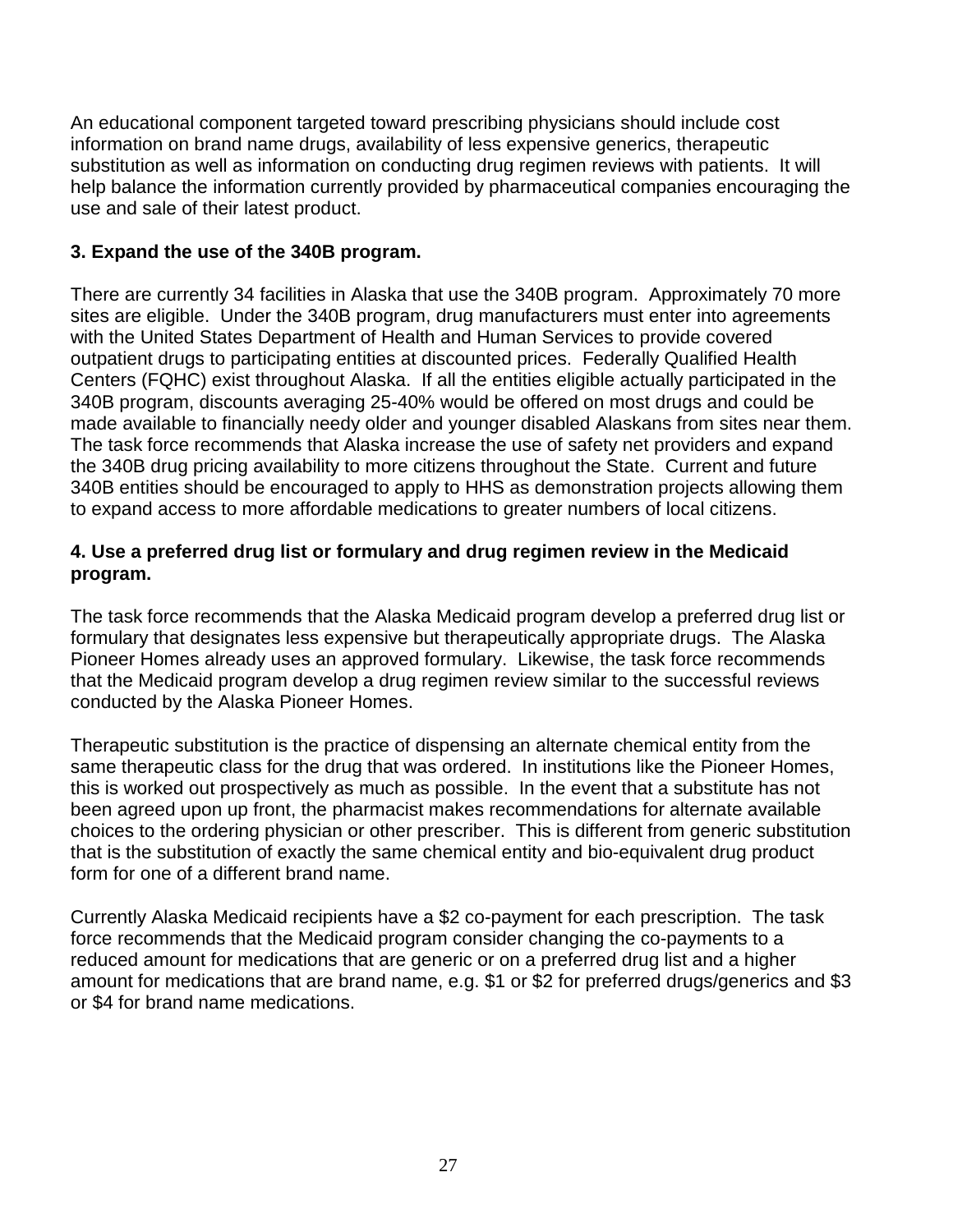An educational component targeted toward prescribing physicians should include cost information on brand name drugs, availability of less expensive generics, therapeutic substitution as well as information on conducting drug regimen reviews with patients. It will help balance the information currently provided by pharmaceutical companies encouraging the use and sale of their latest product.

## **3. Expand the use of the 340B program.**

There are currently 34 facilities in Alaska that use the 340B program. Approximately 70 more sites are eligible. Under the 340B program, drug manufacturers must enter into agreements with the United States Department of Health and Human Services to provide covered outpatient drugs to participating entities at discounted prices. Federally Qualified Health Centers (FQHC) exist throughout Alaska. If all the entities eligible actually participated in the 340B program, discounts averaging 25-40% would be offered on most drugs and could be made available to financially needy older and younger disabled Alaskans from sites near them. The task force recommends that Alaska increase the use of safety net providers and expand the 340B drug pricing availability to more citizens throughout the State. Current and future 340B entities should be encouraged to apply to HHS as demonstration projects allowing them to expand access to more affordable medications to greater numbers of local citizens.

## **4. Use a preferred drug list or formulary and drug regimen review in the Medicaid program.**

The task force recommends that the Alaska Medicaid program develop a preferred drug list or formulary that designates less expensive but therapeutically appropriate drugs. The Alaska Pioneer Homes already uses an approved formulary. Likewise, the task force recommends that the Medicaid program develop a drug regimen review similar to the successful reviews conducted by the Alaska Pioneer Homes.

Therapeutic substitution is the practice of dispensing an alternate chemical entity from the same therapeutic class for the drug that was ordered. In institutions like the Pioneer Homes, this is worked out prospectively as much as possible. In the event that a substitute has not been agreed upon up front, the pharmacist makes recommendations for alternate available choices to the ordering physician or other prescriber. This is different from generic substitution that is the substitution of exactly the same chemical entity and bio-equivalent drug product form for one of a different brand name.

Currently Alaska Medicaid recipients have a \$2 co-payment for each prescription. The task force recommends that the Medicaid program consider changing the co-payments to a reduced amount for medications that are generic or on a preferred drug list and a higher amount for medications that are brand name, e.g. \$1 or \$2 for preferred drugs/generics and \$3 or \$4 for brand name medications.